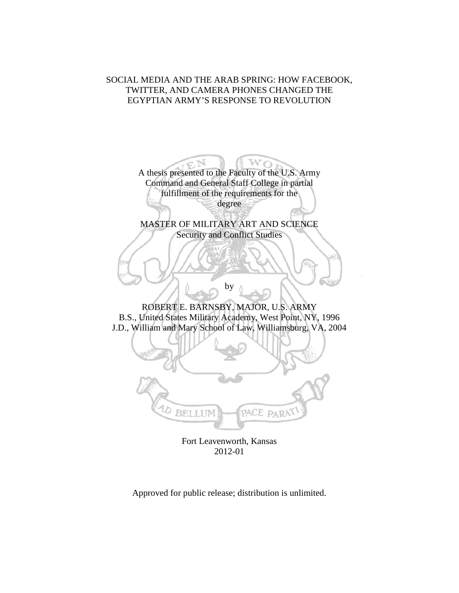# SOCIAL MEDIA AND THE ARAB SPRING: HOW FACEBOOK, TWITTER, AND CAMERA PHONES CHANGED THE EGYPTIAN ARMY'S RESPONSE TO REVOLUTION



Fort Leavenworth, Kansas 2012-01

Approved for public release; distribution is unlimited.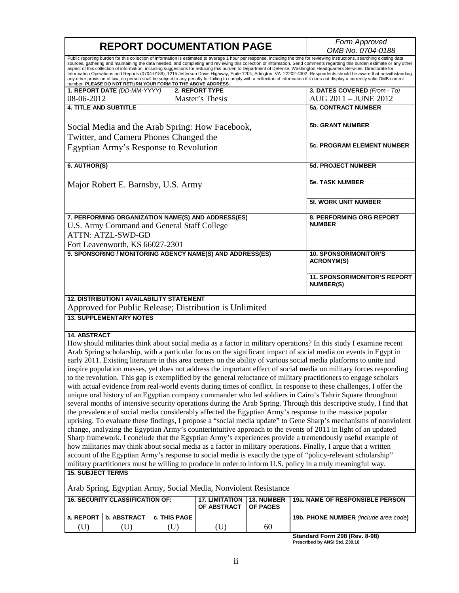| <b>REPORT DOCUMENTATION PAGE</b>                                                                                                                                                                                                                                                                                                                                                                                                                                 | Form Approved     |                                      |                               |                                                                                                                                                                                                                                                                                                                                                                                                                                                                                                                                                                                                                                                                                                                                                                                                                                                                                                                                                                                                                                                                                                                                                                                                                                                                                                                                                                                                                                   |
|------------------------------------------------------------------------------------------------------------------------------------------------------------------------------------------------------------------------------------------------------------------------------------------------------------------------------------------------------------------------------------------------------------------------------------------------------------------|-------------------|--------------------------------------|-------------------------------|-----------------------------------------------------------------------------------------------------------------------------------------------------------------------------------------------------------------------------------------------------------------------------------------------------------------------------------------------------------------------------------------------------------------------------------------------------------------------------------------------------------------------------------------------------------------------------------------------------------------------------------------------------------------------------------------------------------------------------------------------------------------------------------------------------------------------------------------------------------------------------------------------------------------------------------------------------------------------------------------------------------------------------------------------------------------------------------------------------------------------------------------------------------------------------------------------------------------------------------------------------------------------------------------------------------------------------------------------------------------------------------------------------------------------------------|
|                                                                                                                                                                                                                                                                                                                                                                                                                                                                  | OMB No. 0704-0188 |                                      |                               |                                                                                                                                                                                                                                                                                                                                                                                                                                                                                                                                                                                                                                                                                                                                                                                                                                                                                                                                                                                                                                                                                                                                                                                                                                                                                                                                                                                                                                   |
| number. PLEASE DO NOT RETURN YOUR FORM TO THE ABOVE ADDRESS.                                                                                                                                                                                                                                                                                                                                                                                                     |                   |                                      |                               | Public reporting burden for this collection of information is estimated to average 1 hour per response, including the time for reviewing instructions, searching existing data<br>sources, gathering and maintaining the data needed, and completing and reviewing this collection of information. Send comments regarding this burden estimate or any other<br>aspect of this collection of information, including suggestions for reducing this burden to Department of Defense, Washington Headquarters Services, Directorate for<br>Information Operations and Reports (0704-0188), 1215 Jefferson Davis Highway, Suite 1204, Arlington, VA 22202-4302. Respondents should be aware that notwithstanding<br>any other provision of law, no person shall be subject to any penalty for failing to comply with a collection of information if it does not display a currently valid OMB control                                                                                                                                                                                                                                                                                                                                                                                                                                                                                                                                 |
| 1. REPORT DATE (DD-MM-YYYY)                                                                                                                                                                                                                                                                                                                                                                                                                                      |                   | 2. REPORT TYPE                       |                               | 3. DATES COVERED (From - To)                                                                                                                                                                                                                                                                                                                                                                                                                                                                                                                                                                                                                                                                                                                                                                                                                                                                                                                                                                                                                                                                                                                                                                                                                                                                                                                                                                                                      |
| 08-06-2012                                                                                                                                                                                                                                                                                                                                                                                                                                                       |                   | Master's Thesis                      |                               | AUG 2011 - JUNE 2012                                                                                                                                                                                                                                                                                                                                                                                                                                                                                                                                                                                                                                                                                                                                                                                                                                                                                                                                                                                                                                                                                                                                                                                                                                                                                                                                                                                                              |
| <b>4. TITLE AND SUBTITLE</b>                                                                                                                                                                                                                                                                                                                                                                                                                                     |                   |                                      |                               | <b>5a. CONTRACT NUMBER</b>                                                                                                                                                                                                                                                                                                                                                                                                                                                                                                                                                                                                                                                                                                                                                                                                                                                                                                                                                                                                                                                                                                                                                                                                                                                                                                                                                                                                        |
| Social Media and the Arab Spring: How Facebook,<br>Twitter, and Camera Phones Changed the                                                                                                                                                                                                                                                                                                                                                                        |                   |                                      |                               | <b>5b. GRANT NUMBER</b>                                                                                                                                                                                                                                                                                                                                                                                                                                                                                                                                                                                                                                                                                                                                                                                                                                                                                                                                                                                                                                                                                                                                                                                                                                                                                                                                                                                                           |
| Egyptian Army's Response to Revolution                                                                                                                                                                                                                                                                                                                                                                                                                           |                   |                                      |                               | <b>5c. PROGRAM ELEMENT NUMBER</b>                                                                                                                                                                                                                                                                                                                                                                                                                                                                                                                                                                                                                                                                                                                                                                                                                                                                                                                                                                                                                                                                                                                                                                                                                                                                                                                                                                                                 |
|                                                                                                                                                                                                                                                                                                                                                                                                                                                                  |                   |                                      |                               |                                                                                                                                                                                                                                                                                                                                                                                                                                                                                                                                                                                                                                                                                                                                                                                                                                                                                                                                                                                                                                                                                                                                                                                                                                                                                                                                                                                                                                   |
| 6. AUTHOR(S)                                                                                                                                                                                                                                                                                                                                                                                                                                                     |                   |                                      |                               | <b>5d. PROJECT NUMBER</b>                                                                                                                                                                                                                                                                                                                                                                                                                                                                                                                                                                                                                                                                                                                                                                                                                                                                                                                                                                                                                                                                                                                                                                                                                                                                                                                                                                                                         |
| Major Robert E. Barnsby, U.S. Army                                                                                                                                                                                                                                                                                                                                                                                                                               |                   |                                      | <b>5e. TASK NUMBER</b>        |                                                                                                                                                                                                                                                                                                                                                                                                                                                                                                                                                                                                                                                                                                                                                                                                                                                                                                                                                                                                                                                                                                                                                                                                                                                                                                                                                                                                                                   |
|                                                                                                                                                                                                                                                                                                                                                                                                                                                                  |                   |                                      |                               | <b>5f. WORK UNIT NUMBER</b>                                                                                                                                                                                                                                                                                                                                                                                                                                                                                                                                                                                                                                                                                                                                                                                                                                                                                                                                                                                                                                                                                                                                                                                                                                                                                                                                                                                                       |
| 7. PERFORMING ORGANIZATION NAME(S) AND ADDRESS(ES)                                                                                                                                                                                                                                                                                                                                                                                                               |                   |                                      |                               | 8. PERFORMING ORG REPORT<br><b>NUMBER</b>                                                                                                                                                                                                                                                                                                                                                                                                                                                                                                                                                                                                                                                                                                                                                                                                                                                                                                                                                                                                                                                                                                                                                                                                                                                                                                                                                                                         |
| U.S. Army Command and General Staff College                                                                                                                                                                                                                                                                                                                                                                                                                      |                   |                                      |                               |                                                                                                                                                                                                                                                                                                                                                                                                                                                                                                                                                                                                                                                                                                                                                                                                                                                                                                                                                                                                                                                                                                                                                                                                                                                                                                                                                                                                                                   |
| <b>ATTN: ATZL-SWD-GD</b>                                                                                                                                                                                                                                                                                                                                                                                                                                         |                   |                                      |                               |                                                                                                                                                                                                                                                                                                                                                                                                                                                                                                                                                                                                                                                                                                                                                                                                                                                                                                                                                                                                                                                                                                                                                                                                                                                                                                                                                                                                                                   |
| Fort Leavenworth, KS 66027-2301                                                                                                                                                                                                                                                                                                                                                                                                                                  |                   |                                      |                               |                                                                                                                                                                                                                                                                                                                                                                                                                                                                                                                                                                                                                                                                                                                                                                                                                                                                                                                                                                                                                                                                                                                                                                                                                                                                                                                                                                                                                                   |
| 9. SPONSORING / MONITORING AGENCY NAME(S) AND ADDRESS(ES)                                                                                                                                                                                                                                                                                                                                                                                                        |                   |                                      |                               | <b>10. SPONSOR/MONITOR'S</b><br><b>ACRONYM(S)</b>                                                                                                                                                                                                                                                                                                                                                                                                                                                                                                                                                                                                                                                                                                                                                                                                                                                                                                                                                                                                                                                                                                                                                                                                                                                                                                                                                                                 |
|                                                                                                                                                                                                                                                                                                                                                                                                                                                                  |                   |                                      |                               | 11. SPONSOR/MONITOR'S REPORT<br><b>NUMBER(S)</b>                                                                                                                                                                                                                                                                                                                                                                                                                                                                                                                                                                                                                                                                                                                                                                                                                                                                                                                                                                                                                                                                                                                                                                                                                                                                                                                                                                                  |
| <b>12. DISTRIBUTION / AVAILABILITY STATEMENT</b>                                                                                                                                                                                                                                                                                                                                                                                                                 |                   |                                      |                               |                                                                                                                                                                                                                                                                                                                                                                                                                                                                                                                                                                                                                                                                                                                                                                                                                                                                                                                                                                                                                                                                                                                                                                                                                                                                                                                                                                                                                                   |
| Approved for Public Release; Distribution is Unlimited                                                                                                                                                                                                                                                                                                                                                                                                           |                   |                                      |                               |                                                                                                                                                                                                                                                                                                                                                                                                                                                                                                                                                                                                                                                                                                                                                                                                                                                                                                                                                                                                                                                                                                                                                                                                                                                                                                                                                                                                                                   |
| <b>13. SUPPLEMENTARY NOTES</b>                                                                                                                                                                                                                                                                                                                                                                                                                                   |                   |                                      |                               |                                                                                                                                                                                                                                                                                                                                                                                                                                                                                                                                                                                                                                                                                                                                                                                                                                                                                                                                                                                                                                                                                                                                                                                                                                                                                                                                                                                                                                   |
| <b>14. ABSTRACT</b><br>the prevalence of social media considerably affected the Egyptian Army's response to the massive popular<br>how militaries may think about social media as a factor in military operations. Finally, I argue that a written<br>military practitioners must be willing to produce in order to inform U.S. policy in a truly meaningful way.<br><b>15. SUBJECT TERMS</b><br>Arab Spring, Egyptian Army, Social Media, Nonviolent Resistance |                   |                                      |                               | How should militaries think about social media as a factor in military operations? In this study I examine recent<br>Arab Spring scholarship, with a particular focus on the significant impact of social media on events in Egypt in<br>early 2011. Existing literature in this area centers on the ability of various social media platforms to unite and<br>inspire population masses, yet does not address the important effect of social media on military forces responding<br>to the revolution. This gap is exemplified by the general reluctance of military practitioners to engage scholars<br>with actual evidence from real-world events during times of conflict. In response to these challenges, I offer the<br>unique oral history of an Egyptian company commander who led soldiers in Cairo's Tahrir Square throughout<br>several months of intensive security operations during the Arab Spring. Through this descriptive study, I find that<br>uprising. To evaluate these findings, I propose a "social media update" to Gene Sharp's mechanisms of nonviolent<br>change, analyzing the Egyptian Army's counterintuitive approach to the events of 2011 in light of an updated<br>Sharp framework. I conclude that the Egyptian Army's experiences provide a tremendously useful example of<br>account of the Egyptian Army's response to social media is exactly the type of "policy-relevant scholarship" |
| <b>16. SECURITY CLASSIFICATION OF:</b>                                                                                                                                                                                                                                                                                                                                                                                                                           |                   | <b>17. LIMITATION</b><br>OF ABSTRACT | 18. NUMBER<br><b>OF PAGES</b> | 19a. NAME OF RESPONSIBLE PERSON                                                                                                                                                                                                                                                                                                                                                                                                                                                                                                                                                                                                                                                                                                                                                                                                                                                                                                                                                                                                                                                                                                                                                                                                                                                                                                                                                                                                   |
| a. REPORT   b. ABSTRACT                                                                                                                                                                                                                                                                                                                                                                                                                                          | c. THIS PAGE      |                                      |                               | 19b. PHONE NUMBER (include area code)                                                                                                                                                                                                                                                                                                                                                                                                                                                                                                                                                                                                                                                                                                                                                                                                                                                                                                                                                                                                                                                                                                                                                                                                                                                                                                                                                                                             |

**Standard Form 298 (Rev. 8-98) Prescribed by ANSI Std. Z39.18**

(U) (U) (U) (U) 60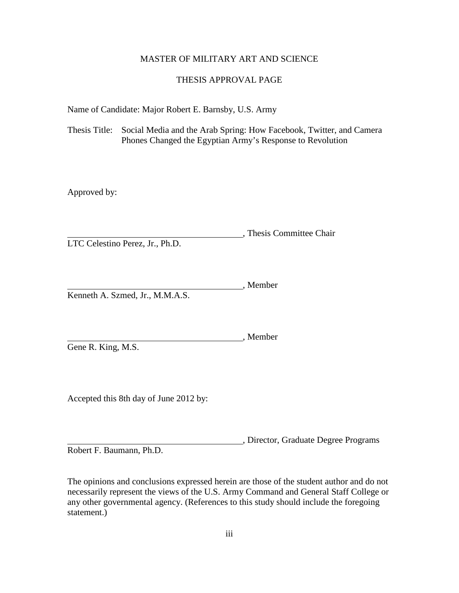# MASTER OF MILITARY ART AND SCIENCE

# THESIS APPROVAL PAGE

Name of Candidate: Major Robert E. Barnsby, U.S. Army

Thesis Title: Social Media and the Arab Spring: How Facebook, Twitter, and Camera Phones Changed the Egyptian Army's Response to Revolution

Approved by:

, Thesis Committee Chair LTC Celestino Perez, Jr., Ph.D.

, Member Kenneth A. Szmed, Jr., M.M.A.S.

Gene R. King, M.S.

Accepted this 8th day of June 2012 by:

, Director, Graduate Degree Programs

, Member

Robert F. Baumann, Ph.D.

The opinions and conclusions expressed herein are those of the student author and do not necessarily represent the views of the U.S. Army Command and General Staff College or any other governmental agency. (References to this study should include the foregoing statement.)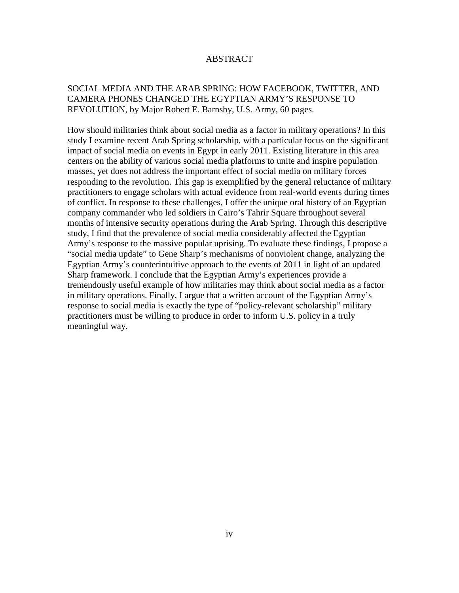# ABSTRACT

# SOCIAL MEDIA AND THE ARAB SPRING: HOW FACEBOOK, TWITTER, AND CAMERA PHONES CHANGED THE EGYPTIAN ARMY'S RESPONSE TO REVOLUTION, by Major Robert E. Barnsby, U.S. Army, 60 pages.

How should militaries think about social media as a factor in military operations? In this study I examine recent Arab Spring scholarship, with a particular focus on the significant impact of social media on events in Egypt in early 2011. Existing literature in this area centers on the ability of various social media platforms to unite and inspire population masses, yet does not address the important effect of social media on military forces responding to the revolution. This gap is exemplified by the general reluctance of military practitioners to engage scholars with actual evidence from real-world events during times of conflict. In response to these challenges, I offer the unique oral history of an Egyptian company commander who led soldiers in Cairo's Tahrir Square throughout several months of intensive security operations during the Arab Spring. Through this descriptive study, I find that the prevalence of social media considerably affected the Egyptian Army's response to the massive popular uprising. To evaluate these findings, I propose a "social media update" to Gene Sharp's mechanisms of nonviolent change, analyzing the Egyptian Army's counterintuitive approach to the events of 2011 in light of an updated Sharp framework. I conclude that the Egyptian Army's experiences provide a tremendously useful example of how militaries may think about social media as a factor in military operations. Finally, I argue that a written account of the Egyptian Army's response to social media is exactly the type of "policy-relevant scholarship" military practitioners must be willing to produce in order to inform U.S. policy in a truly meaningful way.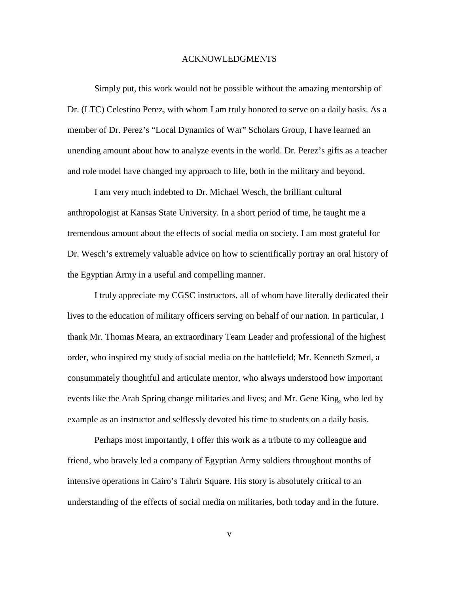#### ACKNOWLEDGMENTS

Simply put, this work would not be possible without the amazing mentorship of Dr. (LTC) Celestino Perez, with whom I am truly honored to serve on a daily basis. As a member of Dr. Perez's "Local Dynamics of War" Scholars Group, I have learned an unending amount about how to analyze events in the world. Dr. Perez's gifts as a teacher and role model have changed my approach to life, both in the military and beyond.

I am very much indebted to Dr. Michael Wesch, the brilliant cultural anthropologist at Kansas State University. In a short period of time, he taught me a tremendous amount about the effects of social media on society. I am most grateful for Dr. Wesch's extremely valuable advice on how to scientifically portray an oral history of the Egyptian Army in a useful and compelling manner.

I truly appreciate my CGSC instructors, all of whom have literally dedicated their lives to the education of military officers serving on behalf of our nation. In particular, I thank Mr. Thomas Meara, an extraordinary Team Leader and professional of the highest order, who inspired my study of social media on the battlefield; Mr. Kenneth Szmed, a consummately thoughtful and articulate mentor, who always understood how important events like the Arab Spring change militaries and lives; and Mr. Gene King, who led by example as an instructor and selflessly devoted his time to students on a daily basis.

Perhaps most importantly, I offer this work as a tribute to my colleague and friend, who bravely led a company of Egyptian Army soldiers throughout months of intensive operations in Cairo's Tahrir Square. His story is absolutely critical to an understanding of the effects of social media on militaries, both today and in the future.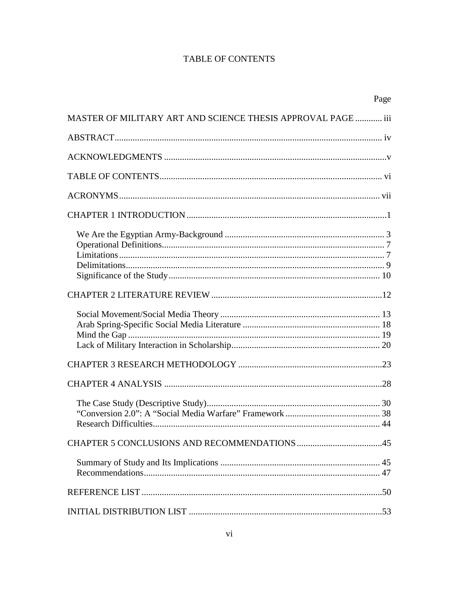# **TABLE OF CONTENTS**

|                                                              | Page |
|--------------------------------------------------------------|------|
| MASTER OF MILITARY ART AND SCIENCE THESIS APPROVAL PAGE  iii |      |
|                                                              |      |
|                                                              |      |
|                                                              |      |
|                                                              |      |
|                                                              |      |
|                                                              |      |
|                                                              |      |
|                                                              |      |
|                                                              |      |
|                                                              |      |
|                                                              |      |
|                                                              |      |
|                                                              |      |
|                                                              |      |
|                                                              |      |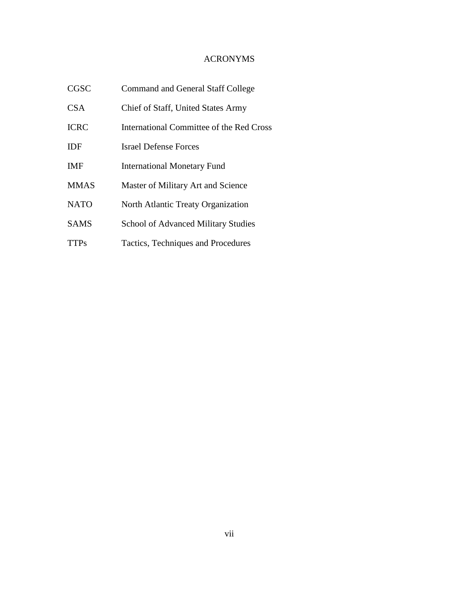# ACRONYMS

| <b>CGSC</b> | <b>Command and General Staff College</b>   |
|-------------|--------------------------------------------|
| <b>CSA</b>  | Chief of Staff, United States Army         |
| <b>ICRC</b> | International Committee of the Red Cross   |
| <b>IDF</b>  | <b>Israel Defense Forces</b>               |
| <b>IMF</b>  | <b>International Monetary Fund</b>         |
| <b>MMAS</b> | Master of Military Art and Science         |
| <b>NATO</b> | North Atlantic Treaty Organization         |
| <b>SAMS</b> | <b>School of Advanced Military Studies</b> |
| <b>TTPs</b> | Tactics, Techniques and Procedures         |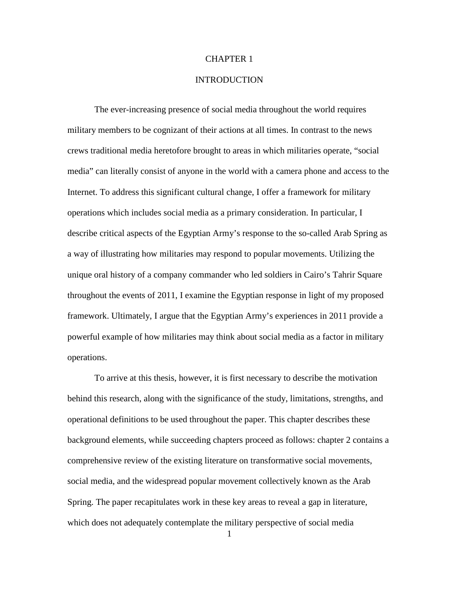# CHAPTER 1

# **INTRODUCTION**

The ever-increasing presence of social media throughout the world requires military members to be cognizant of their actions at all times. In contrast to the news crews traditional media heretofore brought to areas in which militaries operate, "social media" can literally consist of anyone in the world with a camera phone and access to the Internet. To address this significant cultural change, I offer a framework for military operations which includes social media as a primary consideration. In particular, I describe critical aspects of the Egyptian Army's response to the so-called Arab Spring as a way of illustrating how militaries may respond to popular movements. Utilizing the unique oral history of a company commander who led soldiers in Cairo's Tahrir Square throughout the events of 2011, I examine the Egyptian response in light of my proposed framework. Ultimately, I argue that the Egyptian Army's experiences in 2011 provide a powerful example of how militaries may think about social media as a factor in military operations.

To arrive at this thesis, however, it is first necessary to describe the motivation behind this research, along with the significance of the study, limitations, strengths, and operational definitions to be used throughout the paper. This chapter describes these background elements, while succeeding chapters proceed as follows: chapter 2 contains a comprehensive review of the existing literature on transformative social movements, social media, and the widespread popular movement collectively known as the Arab Spring. The paper recapitulates work in these key areas to reveal a gap in literature, which does not adequately contemplate the military perspective of social media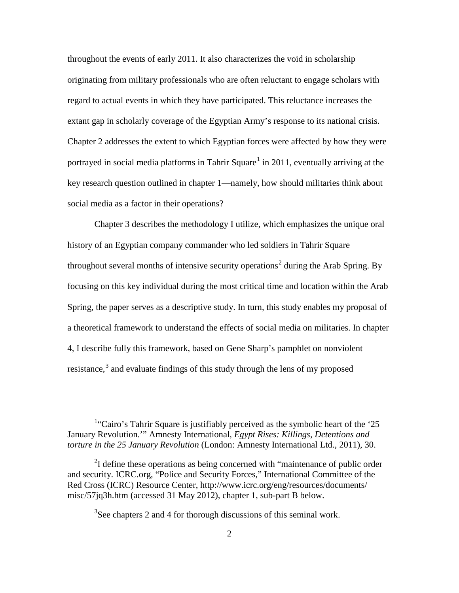throughout the events of early 2011. It also characterizes the void in scholarship originating from military professionals who are often reluctant to engage scholars with regard to actual events in which they have participated. This reluctance increases the extant gap in scholarly coverage of the Egyptian Army's response to its national crisis. Chapter 2 addresses the extent to which Egyptian forces were affected by how they were portrayed in social media platforms in Tahrir Square<sup>[1](#page-8-0)</sup> in 2011, eventually arriving at the key research question outlined in chapter 1—namely, how should militaries think about social media as a factor in their operations?

Chapter 3 describes the methodology I utilize, which emphasizes the unique oral history of an Egyptian company commander who led soldiers in Tahrir Square throughout several months of intensive security operations<sup>[2](#page-8-1)</sup> during the Arab Spring. By focusing on this key individual during the most critical time and location within the Arab Spring, the paper serves as a descriptive study. In turn, this study enables my proposal of a theoretical framework to understand the effects of social media on militaries. In chapter 4, I describe fully this framework, based on Gene Sharp's pamphlet on nonviolent resistance, $3$  and evaluate findings of this study through the lens of my proposed

 $3$ See chapters 2 and 4 for thorough discussions of this seminal work.

<span id="page-8-0"></span><sup>&</sup>lt;u>1</u> <sup>1</sup>"Cairo's Tahrir Square is justifiably perceived as the symbolic heart of the '25 January Revolution.'" Amnesty International, *Egypt Rises: Killings, Detentions and torture in the 25 January Revolution* (London: Amnesty International Ltd., 2011), 30.

<span id="page-8-2"></span><span id="page-8-1"></span> $2$ I define these operations as being concerned with "maintenance of public order and security. ICRC.org, "Police and Security Forces," International Committee of the Red Cross (ICRC) Resource Center, http://www.icrc.org/eng/resources/documents/ misc/57jq3h.htm (accessed 31 May 2012), chapter 1, sub-part B below.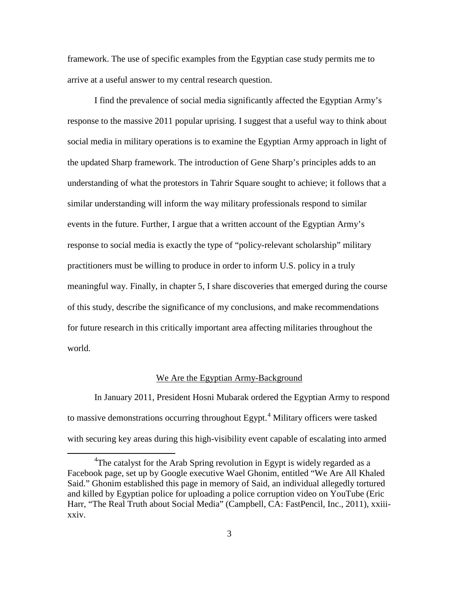framework. The use of specific examples from the Egyptian case study permits me to arrive at a useful answer to my central research question.

I find the prevalence of social media significantly affected the Egyptian Army's response to the massive 2011 popular uprising. I suggest that a useful way to think about social media in military operations is to examine the Egyptian Army approach in light of the updated Sharp framework. The introduction of Gene Sharp's principles adds to an understanding of what the protestors in Tahrir Square sought to achieve; it follows that a similar understanding will inform the way military professionals respond to similar events in the future. Further, I argue that a written account of the Egyptian Army's response to social media is exactly the type of "policy-relevant scholarship" military practitioners must be willing to produce in order to inform U.S. policy in a truly meaningful way. Finally, in chapter 5, I share discoveries that emerged during the course of this study, describe the significance of my conclusions, and make recommendations for future research in this critically important area affecting militaries throughout the world.

#### We Are the Egyptian Army-Background

In January 2011, President Hosni Mubarak ordered the Egyptian Army to respond to massive demonstrations occurring throughout Egypt.<sup>[4](#page-9-0)</sup> Military officers were tasked with securing key areas during this high-visibility event capable of escalating into armed

<span id="page-9-0"></span> $\overline{4}$ <sup>4</sup>The catalyst for the Arab Spring revolution in Egypt is widely regarded as a Facebook page, set up by Google executive Wael Ghonim, entitled "We Are All Khaled Said." Ghonim established this page in memory of Said, an individual allegedly tortured and killed by Egyptian police for uploading a police corruption video on YouTube (Eric Harr, "The Real Truth about Social Media" (Campbell, CA: FastPencil, Inc., 2011), xxiiixxiv.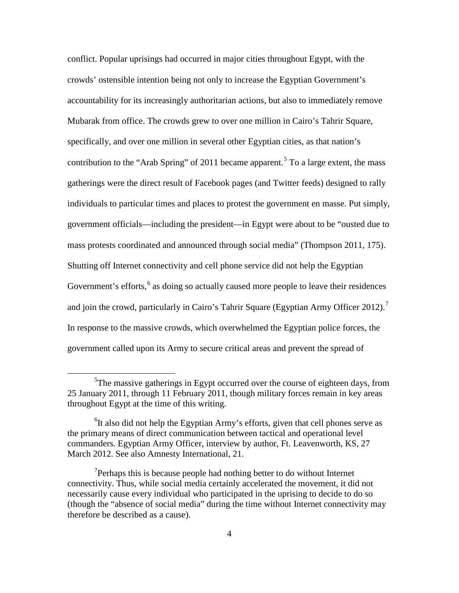conflict. Popular uprisings had occurred in major cities throughout Egypt, with the crowds' ostensible intention being not only to increase the Egyptian Government's accountability for its increasingly authoritarian actions, but also to immediately remove Mubarak from office. The crowds grew to over one million in Cairo's Tahrir Square, specifically, and over one million in several other Egyptian cities, as that nation's contribution to the "Arab Spring" of 2011 became apparent.<sup>[5](#page-10-0)</sup> To a large extent, the mass gatherings were the direct result of Facebook pages (and Twitter feeds) designed to rally individuals to particular times and places to protest the government en masse. Put simply, government officials—including the president—in Egypt were about to be "ousted due to mass protests coordinated and announced through social media" (Thompson 2011, 175). Shutting off Internet connectivity and cell phone service did not help the Egyptian Government's efforts, $6$  as doing so actually caused more people to leave their residences and join the crowd, particularly in Cairo's Tahrir Square (Egyptian Army Officer 2012).<sup>[7](#page-10-2)</sup> In response to the massive crowds, which overwhelmed the Egyptian police forces, the government called upon its Army to secure critical areas and prevent the spread of

<span id="page-10-0"></span> $rac{1}{5}$  $5$ The massive gatherings in Egypt occurred over the course of eighteen days, from 25 January 2011, through 11 February 2011, though military forces remain in key areas throughout Egypt at the time of this writing.

<span id="page-10-1"></span><sup>&</sup>lt;sup>6</sup>It also did not help the Egyptian Army's efforts, given that cell phones serve as the primary means of direct communication between tactical and operational level commanders. Egyptian Army Officer, interview by author, Ft. Leavenworth, KS, 27 March 2012. See also Amnesty International, 21.

<span id="page-10-2"></span> $7$ Perhaps this is because people had nothing better to do without Internet connectivity. Thus, while social media certainly accelerated the movement, it did not necessarily cause every individual who participated in the uprising to decide to do so (though the "absence of social media" during the time without Internet connectivity may therefore be described as a cause).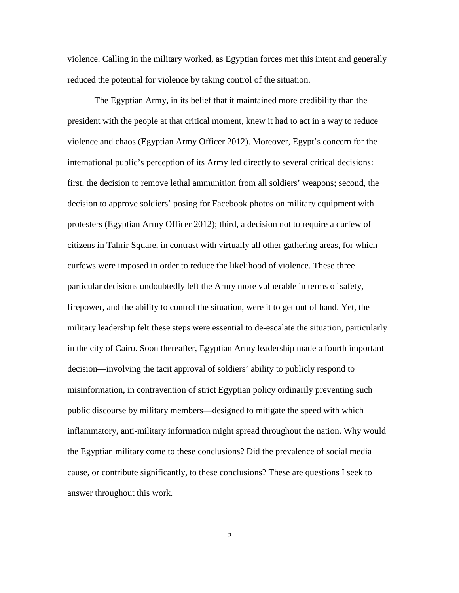violence. Calling in the military worked, as Egyptian forces met this intent and generally reduced the potential for violence by taking control of the situation.

The Egyptian Army, in its belief that it maintained more credibility than the president with the people at that critical moment, knew it had to act in a way to reduce violence and chaos (Egyptian Army Officer 2012). Moreover, Egypt's concern for the international public's perception of its Army led directly to several critical decisions: first, the decision to remove lethal ammunition from all soldiers' weapons; second, the decision to approve soldiers' posing for Facebook photos on military equipment with protesters (Egyptian Army Officer 2012); third, a decision not to require a curfew of citizens in Tahrir Square, in contrast with virtually all other gathering areas, for which curfews were imposed in order to reduce the likelihood of violence. These three particular decisions undoubtedly left the Army more vulnerable in terms of safety, firepower, and the ability to control the situation, were it to get out of hand. Yet, the military leadership felt these steps were essential to de-escalate the situation, particularly in the city of Cairo. Soon thereafter, Egyptian Army leadership made a fourth important decision—involving the tacit approval of soldiers' ability to publicly respond to misinformation, in contravention of strict Egyptian policy ordinarily preventing such public discourse by military members—designed to mitigate the speed with which inflammatory, anti-military information might spread throughout the nation. Why would the Egyptian military come to these conclusions? Did the prevalence of social media cause, or contribute significantly, to these conclusions? These are questions I seek to answer throughout this work.

5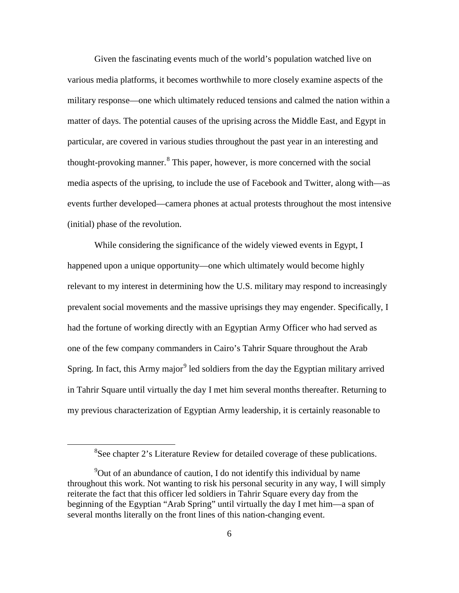Given the fascinating events much of the world's population watched live on various media platforms, it becomes worthwhile to more closely examine aspects of the military response—one which ultimately reduced tensions and calmed the nation within a matter of days. The potential causes of the uprising across the Middle East, and Egypt in particular, are covered in various studies throughout the past year in an interesting and thought-provoking manner.<sup>[8](#page-12-0)</sup> This paper, however, is more concerned with the social media aspects of the uprising, to include the use of Facebook and Twitter, along with—as events further developed—camera phones at actual protests throughout the most intensive (initial) phase of the revolution.

While considering the significance of the widely viewed events in Egypt, I happened upon a unique opportunity—one which ultimately would become highly relevant to my interest in determining how the U.S. military may respond to increasingly prevalent social movements and the massive uprisings they may engender. Specifically, I had the fortune of working directly with an Egyptian Army Officer who had served as one of the few company commanders in Cairo's Tahrir Square throughout the Arab Spring. In fact, this Army major<sup>[9](#page-12-1)</sup> led soldiers from the day the Egyptian military arrived in Tahrir Square until virtually the day I met him several months thereafter. Returning to my previous characterization of Egyptian Army leadership, it is certainly reasonable to

<span id="page-12-0"></span> $\frac{1}{8}$ <sup>8</sup>See chapter 2's Literature Review for detailed coverage of these publications.

<span id="page-12-1"></span><sup>&</sup>lt;sup>9</sup>Out of an abundance of caution, I do not identify this individual by name throughout this work. Not wanting to risk his personal security in any way, I will simply reiterate the fact that this officer led soldiers in Tahrir Square every day from the beginning of the Egyptian "Arab Spring" until virtually the day I met him—a span of several months literally on the front lines of this nation-changing event.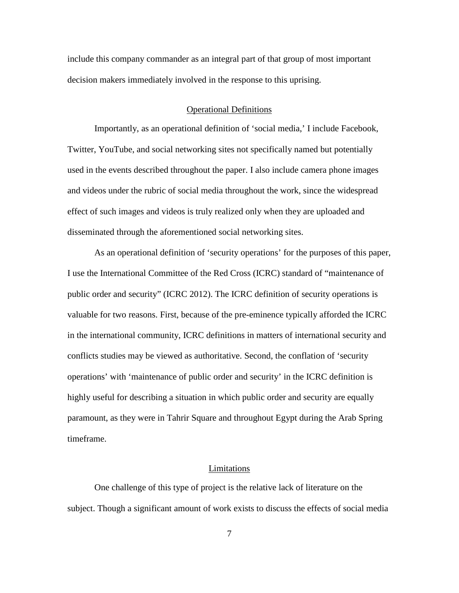include this company commander as an integral part of that group of most important decision makers immediately involved in the response to this uprising.

#### Operational Definitions

Importantly, as an operational definition of 'social media,' I include Facebook, Twitter, YouTube, and social networking sites not specifically named but potentially used in the events described throughout the paper. I also include camera phone images and videos under the rubric of social media throughout the work, since the widespread effect of such images and videos is truly realized only when they are uploaded and disseminated through the aforementioned social networking sites.

As an operational definition of 'security operations' for the purposes of this paper, I use the International Committee of the Red Cross (ICRC) standard of "maintenance of public order and security" (ICRC 2012). The ICRC definition of security operations is valuable for two reasons. First, because of the pre-eminence typically afforded the ICRC in the international community, ICRC definitions in matters of international security and conflicts studies may be viewed as authoritative. Second, the conflation of 'security operations' with 'maintenance of public order and security' in the ICRC definition is highly useful for describing a situation in which public order and security are equally paramount, as they were in Tahrir Square and throughout Egypt during the Arab Spring timeframe.

#### Limitations

One challenge of this type of project is the relative lack of literature on the subject. Though a significant amount of work exists to discuss the effects of social media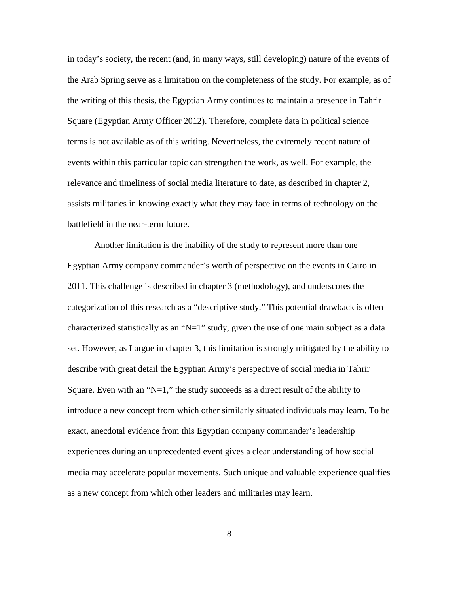in today's society, the recent (and, in many ways, still developing) nature of the events of the Arab Spring serve as a limitation on the completeness of the study. For example, as of the writing of this thesis, the Egyptian Army continues to maintain a presence in Tahrir Square (Egyptian Army Officer 2012). Therefore, complete data in political science terms is not available as of this writing. Nevertheless, the extremely recent nature of events within this particular topic can strengthen the work, as well. For example, the relevance and timeliness of social media literature to date, as described in chapter 2, assists militaries in knowing exactly what they may face in terms of technology on the battlefield in the near-term future.

Another limitation is the inability of the study to represent more than one Egyptian Army company commander's worth of perspective on the events in Cairo in 2011. This challenge is described in chapter 3 (methodology), and underscores the categorization of this research as a "descriptive study." This potential drawback is often characterized statistically as an "N=1" study, given the use of one main subject as a data set. However, as I argue in chapter 3, this limitation is strongly mitigated by the ability to describe with great detail the Egyptian Army's perspective of social media in Tahrir Square. Even with an " $N=1$ ," the study succeeds as a direct result of the ability to introduce a new concept from which other similarly situated individuals may learn. To be exact, anecdotal evidence from this Egyptian company commander's leadership experiences during an unprecedented event gives a clear understanding of how social media may accelerate popular movements. Such unique and valuable experience qualifies as a new concept from which other leaders and militaries may learn.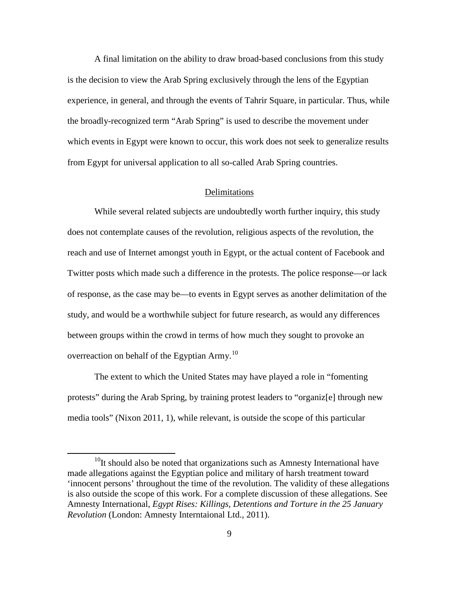A final limitation on the ability to draw broad-based conclusions from this study is the decision to view the Arab Spring exclusively through the lens of the Egyptian experience, in general, and through the events of Tahrir Square, in particular. Thus, while the broadly-recognized term "Arab Spring" is used to describe the movement under which events in Egypt were known to occur, this work does not seek to generalize results from Egypt for universal application to all so-called Arab Spring countries.

#### Delimitations

While several related subjects are undoubtedly worth further inquiry, this study does not contemplate causes of the revolution, religious aspects of the revolution, the reach and use of Internet amongst youth in Egypt, or the actual content of Facebook and Twitter posts which made such a difference in the protests. The police response—or lack of response, as the case may be—to events in Egypt serves as another delimitation of the study, and would be a worthwhile subject for future research, as would any differences between groups within the crowd in terms of how much they sought to provoke an overreaction on behalf of the Egyptian Army.<sup>[10](#page-15-0)</sup>

The extent to which the United States may have played a role in "fomenting protests" during the Arab Spring, by training protest leaders to "organiz[e] through new media tools" (Nixon 2011, 1), while relevant, is outside the scope of this particular

<span id="page-15-0"></span> $10$ It should also be noted that organizations such as Amnesty International have made allegations against the Egyptian police and military of harsh treatment toward 'innocent persons' throughout the time of the revolution. The validity of these allegations is also outside the scope of this work. For a complete discussion of these allegations. See Amnesty International, *Egypt Rises: Killings, Detentions and Torture in the 25 January Revolution* (London: Amnesty Interntaional Ltd., 2011).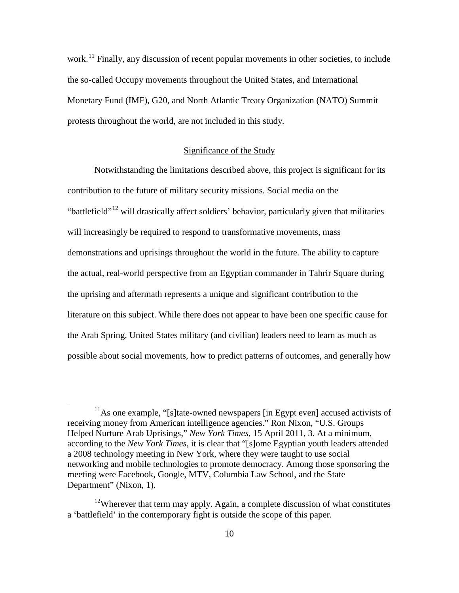work.<sup>[11](#page-16-0)</sup> Finally, any discussion of recent popular movements in other societies, to include the so-called Occupy movements throughout the United States, and International Monetary Fund (IMF), G20, and North Atlantic Treaty Organization (NATO) Summit protests throughout the world, are not included in this study.

#### Significance of the Study

Notwithstanding the limitations described above, this project is significant for its contribution to the future of military security missions. Social media on the "battlefield"<sup>[12](#page-16-1)</sup> will drastically affect soldiers' behavior, particularly given that militaries will increasingly be required to respond to transformative movements, mass demonstrations and uprisings throughout the world in the future. The ability to capture the actual, real-world perspective from an Egyptian commander in Tahrir Square during the uprising and aftermath represents a unique and significant contribution to the literature on this subject. While there does not appear to have been one specific cause for the Arab Spring, United States military (and civilian) leaders need to learn as much as possible about social movements, how to predict patterns of outcomes, and generally how

<span id="page-16-0"></span> $11<sup>11</sup>$ As one example. "[s]tate-owned newspapers [in Egypt even] accused activists of receiving money from American intelligence agencies." Ron Nixon, "U.S. Groups Helped Nurture Arab Uprisings," *New York Times*, 15 April 2011, 3. At a minimum, according to the *New York Times*, it is clear that "[s]ome Egyptian youth leaders attended a 2008 technology meeting in New York, where they were taught to use social networking and mobile technologies to promote democracy. Among those sponsoring the meeting were Facebook, Google, MTV, Columbia Law School, and the State Department" (Nixon, 1).

<span id="page-16-1"></span> $12$ Wherever that term may apply. Again, a complete discussion of what constitutes a 'battlefield' in the contemporary fight is outside the scope of this paper.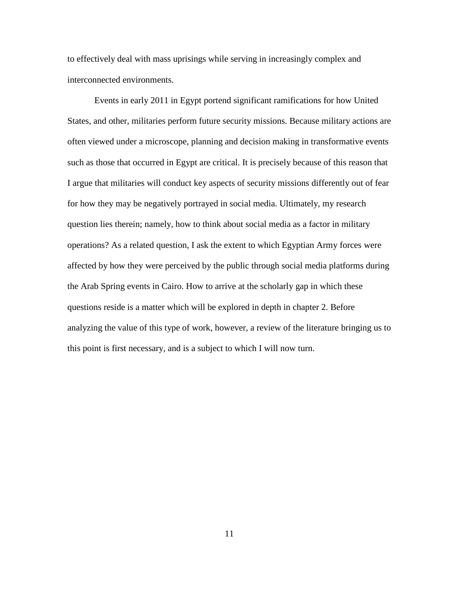to effectively deal with mass uprisings while serving in increasingly complex and interconnected environments.

Events in early 2011 in Egypt portend significant ramifications for how United States, and other, militaries perform future security missions. Because military actions are often viewed under a microscope, planning and decision making in transformative events such as those that occurred in Egypt are critical. It is precisely because of this reason that I argue that militaries will conduct key aspects of security missions differently out of fear for how they may be negatively portrayed in social media. Ultimately, my research question lies therein; namely, how to think about social media as a factor in military operations? As a related question, I ask the extent to which Egyptian Army forces were affected by how they were perceived by the public through social media platforms during the Arab Spring events in Cairo. How to arrive at the scholarly gap in which these questions reside is a matter which will be explored in depth in chapter 2. Before analyzing the value of this type of work, however, a review of the literature bringing us to this point is first necessary, and is a subject to which I will now turn.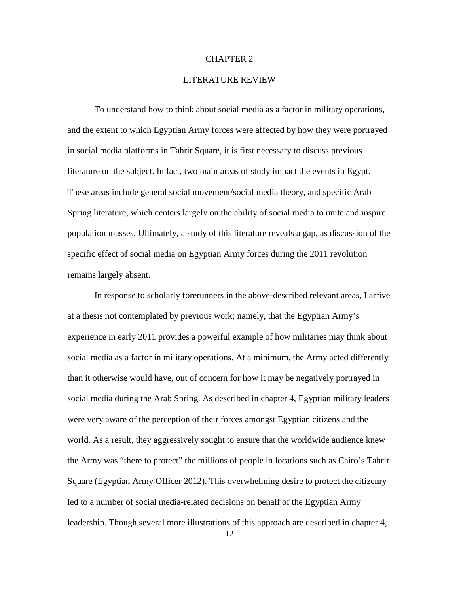## CHAPTER 2

# LITERATURE REVIEW

To understand how to think about social media as a factor in military operations, and the extent to which Egyptian Army forces were affected by how they were portrayed in social media platforms in Tahrir Square, it is first necessary to discuss previous literature on the subject. In fact, two main areas of study impact the events in Egypt. These areas include general social movement/social media theory, and specific Arab Spring literature, which centers largely on the ability of social media to unite and inspire population masses. Ultimately, a study of this literature reveals a gap, as discussion of the specific effect of social media on Egyptian Army forces during the 2011 revolution remains largely absent.

In response to scholarly forerunners in the above-described relevant areas, I arrive at a thesis not contemplated by previous work; namely, that the Egyptian Army's experience in early 2011 provides a powerful example of how militaries may think about social media as a factor in military operations. At a minimum, the Army acted differently than it otherwise would have, out of concern for how it may be negatively portrayed in social media during the Arab Spring. As described in chapter 4, Egyptian military leaders were very aware of the perception of their forces amongst Egyptian citizens and the world. As a result, they aggressively sought to ensure that the worldwide audience knew the Army was "there to protect" the millions of people in locations such as Cairo's Tahrir Square (Egyptian Army Officer 2012). This overwhelming desire to protect the citizenry led to a number of social media-related decisions on behalf of the Egyptian Army leadership. Though several more illustrations of this approach are described in chapter 4,

12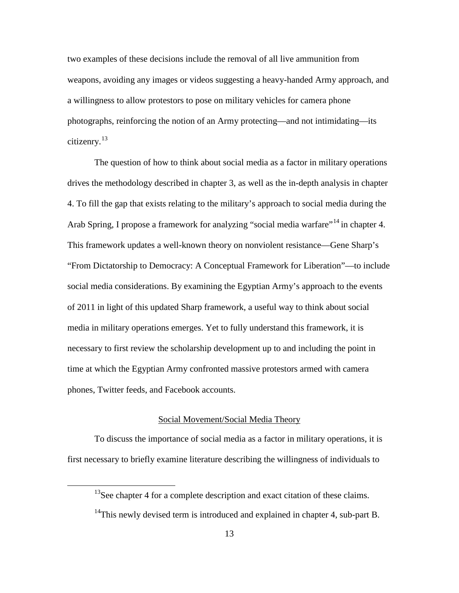two examples of these decisions include the removal of all live ammunition from weapons, avoiding any images or videos suggesting a heavy-handed Army approach, and a willingness to allow protestors to pose on military vehicles for camera phone photographs, reinforcing the notion of an Army protecting—and not intimidating—its citizenry.[13](#page-19-0)

The question of how to think about social media as a factor in military operations drives the methodology described in chapter 3, as well as the in-depth analysis in chapter 4. To fill the gap that exists relating to the military's approach to social media during the Arab Spring, I propose a framework for analyzing "social media warfare"<sup>[14](#page-19-1)</sup> in chapter 4. This framework updates a well-known theory on nonviolent resistance—Gene Sharp's "From Dictatorship to Democracy: A Conceptual Framework for Liberation"—to include social media considerations. By examining the Egyptian Army's approach to the events of 2011 in light of this updated Sharp framework, a useful way to think about social media in military operations emerges. Yet to fully understand this framework, it is necessary to first review the scholarship development up to and including the point in time at which the Egyptian Army confronted massive protestors armed with camera phones, Twitter feeds, and Facebook accounts.

# Social Movement/Social Media Theory

<span id="page-19-0"></span>To discuss the importance of social media as a factor in military operations, it is first necessary to briefly examine literature describing the willingness of individuals to

 $13$ See chapter 4 for a complete description and exact citation of these claims.

<span id="page-19-1"></span> $14$ This newly devised term is introduced and explained in chapter 4, sub-part B.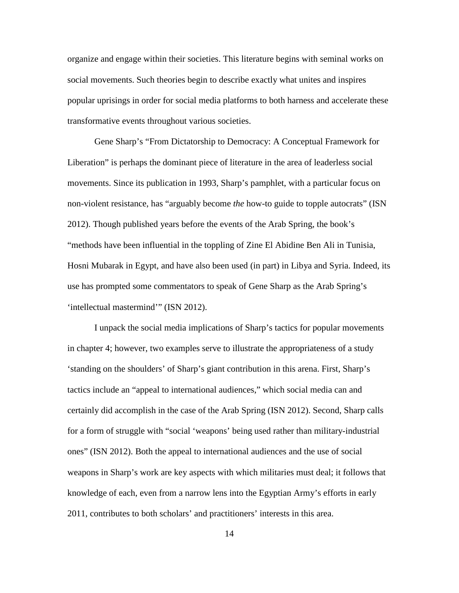organize and engage within their societies. This literature begins with seminal works on social movements. Such theories begin to describe exactly what unites and inspires popular uprisings in order for social media platforms to both harness and accelerate these transformative events throughout various societies.

Gene Sharp's "From Dictatorship to Democracy: A Conceptual Framework for Liberation" is perhaps the dominant piece of literature in the area of leaderless social movements. Since its publication in 1993, Sharp's pamphlet, with a particular focus on non-violent resistance, has "arguably become *the* how-to guide to topple autocrats" (ISN 2012). Though published years before the events of the Arab Spring, the book's "methods have been influential in the toppling of Zine El Abidine Ben Ali in Tunisia, Hosni Mubarak in Egypt, and have also been used (in part) in Libya and Syria. Indeed, its use has prompted some commentators to speak of Gene Sharp as the Arab Spring's 'intellectual mastermind'" (ISN 2012).

I unpack the social media implications of Sharp's tactics for popular movements in chapter 4; however, two examples serve to illustrate the appropriateness of a study 'standing on the shoulders' of Sharp's giant contribution in this arena. First, Sharp's tactics include an "appeal to international audiences," which social media can and certainly did accomplish in the case of the Arab Spring (ISN 2012). Second, Sharp calls for a form of struggle with "social 'weapons' being used rather than military-industrial ones" (ISN 2012). Both the appeal to international audiences and the use of social weapons in Sharp's work are key aspects with which militaries must deal; it follows that knowledge of each, even from a narrow lens into the Egyptian Army's efforts in early 2011, contributes to both scholars' and practitioners' interests in this area.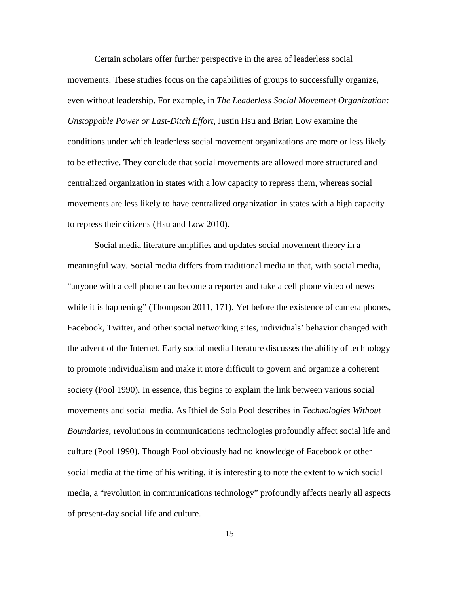Certain scholars offer further perspective in the area of leaderless social movements. These studies focus on the capabilities of groups to successfully organize, even without leadership. For example, in *The Leaderless Social Movement Organization: Unstoppable Power or Last-Ditch Effort*, Justin Hsu and Brian Low examine the conditions under which leaderless social movement organizations are more or less likely to be effective. They conclude that social movements are allowed more structured and centralized organization in states with a low capacity to repress them, whereas social movements are less likely to have centralized organization in states with a high capacity to repress their citizens (Hsu and Low 2010).

Social media literature amplifies and updates social movement theory in a meaningful way. Social media differs from traditional media in that, with social media, "anyone with a cell phone can become a reporter and take a cell phone video of news while it is happening" (Thompson 2011, 171). Yet before the existence of camera phones, Facebook, Twitter, and other social networking sites, individuals' behavior changed with the advent of the Internet. Early social media literature discusses the ability of technology to promote individualism and make it more difficult to govern and organize a coherent society (Pool 1990). In essence, this begins to explain the link between various social movements and social media. As Ithiel de Sola Pool describes in *Technologies Without Boundaries*, revolutions in communications technologies profoundly affect social life and culture (Pool 1990). Though Pool obviously had no knowledge of Facebook or other social media at the time of his writing, it is interesting to note the extent to which social media, a "revolution in communications technology" profoundly affects nearly all aspects of present-day social life and culture.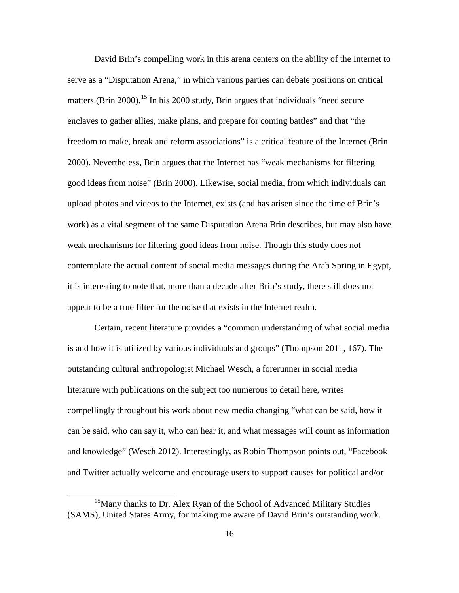David Brin's compelling work in this arena centers on the ability of the Internet to serve as a "Disputation Arena," in which various parties can debate positions on critical matters (Brin 2000).<sup>[15](#page-22-0)</sup> In his 2000 study, Brin argues that individuals "need secure enclaves to gather allies, make plans, and prepare for coming battles" and that "the freedom to make, break and reform associations" is a critical feature of the Internet (Brin 2000). Nevertheless, Brin argues that the Internet has "weak mechanisms for filtering good ideas from noise" (Brin 2000). Likewise, social media, from which individuals can upload photos and videos to the Internet, exists (and has arisen since the time of Brin's work) as a vital segment of the same Disputation Arena Brin describes, but may also have weak mechanisms for filtering good ideas from noise. Though this study does not contemplate the actual content of social media messages during the Arab Spring in Egypt, it is interesting to note that, more than a decade after Brin's study, there still does not appear to be a true filter for the noise that exists in the Internet realm.

Certain, recent literature provides a "common understanding of what social media is and how it is utilized by various individuals and groups" (Thompson 2011, 167). The outstanding cultural anthropologist Michael Wesch, a forerunner in social media literature with publications on the subject too numerous to detail here, writes compellingly throughout his work about new media changing "what can be said, how it can be said, who can say it, who can hear it, and what messages will count as information and knowledge" (Wesch 2012). Interestingly, as Robin Thompson points out, "Facebook and Twitter actually welcome and encourage users to support causes for political and/or

<span id="page-22-0"></span><sup>&</sup>lt;sup>15</sup>Many thanks to Dr. Alex Ryan of the School of Advanced Military Studies (SAMS), United States Army, for making me aware of David Brin's outstanding work.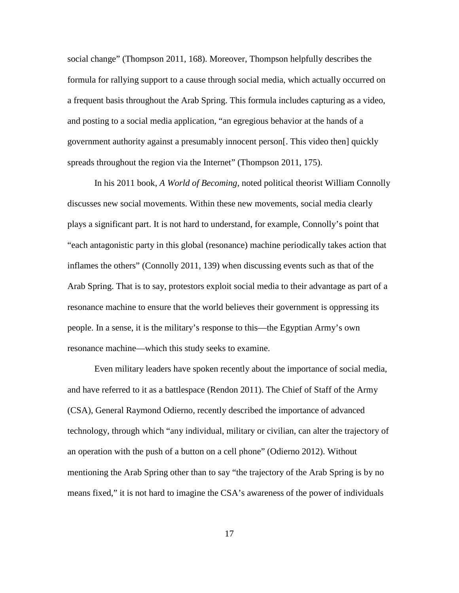social change" (Thompson 2011, 168). Moreover, Thompson helpfully describes the formula for rallying support to a cause through social media, which actually occurred on a frequent basis throughout the Arab Spring. This formula includes capturing as a video, and posting to a social media application, "an egregious behavior at the hands of a government authority against a presumably innocent person[. This video then] quickly spreads throughout the region via the Internet" (Thompson 2011, 175).

In his 2011 book, *A World of Becoming,* noted political theorist William Connolly discusses new social movements. Within these new movements, social media clearly plays a significant part. It is not hard to understand, for example, Connolly's point that "each antagonistic party in this global (resonance) machine periodically takes action that inflames the others" (Connolly 2011, 139) when discussing events such as that of the Arab Spring. That is to say, protestors exploit social media to their advantage as part of a resonance machine to ensure that the world believes their government is oppressing its people. In a sense, it is the military's response to this—the Egyptian Army's own resonance machine—which this study seeks to examine.

Even military leaders have spoken recently about the importance of social media, and have referred to it as a battlespace (Rendon 2011). The Chief of Staff of the Army (CSA), General Raymond Odierno, recently described the importance of advanced technology, through which "any individual, military or civilian, can alter the trajectory of an operation with the push of a button on a cell phone" (Odierno 2012). Without mentioning the Arab Spring other than to say "the trajectory of the Arab Spring is by no means fixed," it is not hard to imagine the CSA's awareness of the power of individuals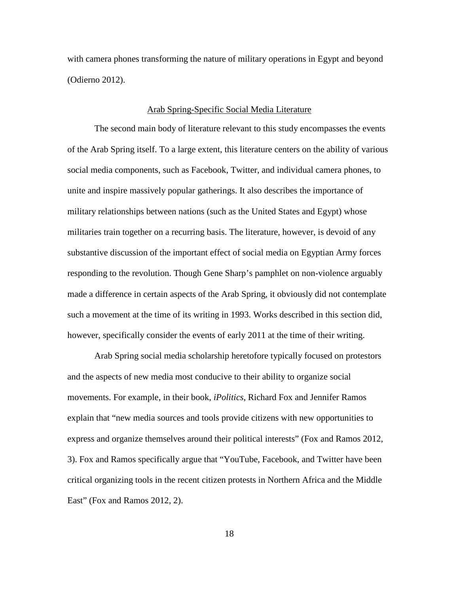with camera phones transforming the nature of military operations in Egypt and beyond (Odierno 2012).

### Arab Spring-Specific Social Media Literature

The second main body of literature relevant to this study encompasses the events of the Arab Spring itself. To a large extent, this literature centers on the ability of various social media components, such as Facebook, Twitter, and individual camera phones, to unite and inspire massively popular gatherings. It also describes the importance of military relationships between nations (such as the United States and Egypt) whose militaries train together on a recurring basis. The literature, however, is devoid of any substantive discussion of the important effect of social media on Egyptian Army forces responding to the revolution. Though Gene Sharp's pamphlet on non-violence arguably made a difference in certain aspects of the Arab Spring, it obviously did not contemplate such a movement at the time of its writing in 1993. Works described in this section did, however, specifically consider the events of early 2011 at the time of their writing.

Arab Spring social media scholarship heretofore typically focused on protestors and the aspects of new media most conducive to their ability to organize social movements. For example, in their book, *iPolitics*, Richard Fox and Jennifer Ramos explain that "new media sources and tools provide citizens with new opportunities to express and organize themselves around their political interests" (Fox and Ramos 2012, 3). Fox and Ramos specifically argue that "YouTube, Facebook, and Twitter have been critical organizing tools in the recent citizen protests in Northern Africa and the Middle East" (Fox and Ramos 2012, 2).

18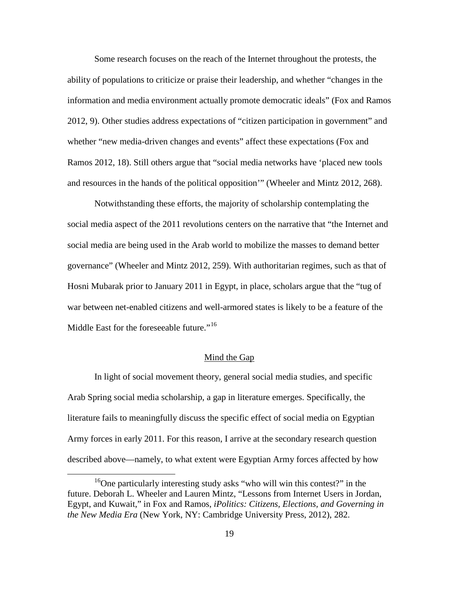Some research focuses on the reach of the Internet throughout the protests, the ability of populations to criticize or praise their leadership, and whether "changes in the information and media environment actually promote democratic ideals" (Fox and Ramos 2012, 9). Other studies address expectations of "citizen participation in government" and whether "new media-driven changes and events" affect these expectations (Fox and Ramos 2012, 18). Still others argue that "social media networks have 'placed new tools and resources in the hands of the political opposition'" (Wheeler and Mintz 2012, 268).

Notwithstanding these efforts, the majority of scholarship contemplating the social media aspect of the 2011 revolutions centers on the narrative that "the Internet and social media are being used in the Arab world to mobilize the masses to demand better governance" (Wheeler and Mintz 2012, 259). With authoritarian regimes, such as that of Hosni Mubarak prior to January 2011 in Egypt, in place, scholars argue that the "tug of war between net-enabled citizens and well-armored states is likely to be a feature of the Middle East for the foreseeable future."<sup>[16](#page-25-0)</sup>

### Mind the Gap

In light of social movement theory, general social media studies, and specific Arab Spring social media scholarship, a gap in literature emerges. Specifically, the literature fails to meaningfully discuss the specific effect of social media on Egyptian Army forces in early 2011. For this reason, I arrive at the secondary research question described above—namely, to what extent were Egyptian Army forces affected by how

<span id="page-25-0"></span><sup>&</sup>lt;sup>16</sup>One particularly interesting study asks "who will win this contest?" in the future. Deborah L. Wheeler and Lauren Mintz, "Lessons from Internet Users in Jordan, Egypt, and Kuwait," in Fox and Ramos, *iPolitics: Citizens, Elections, and Governing in the New Media Era* (New York, NY: Cambridge University Press, 2012), 282.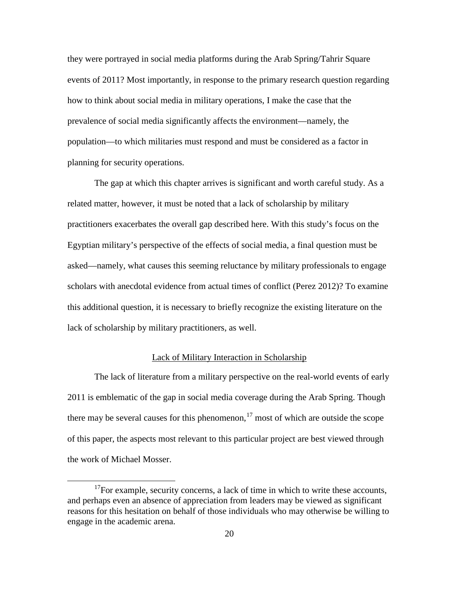they were portrayed in social media platforms during the Arab Spring/Tahrir Square events of 2011? Most importantly, in response to the primary research question regarding how to think about social media in military operations, I make the case that the prevalence of social media significantly affects the environment—namely, the population—to which militaries must respond and must be considered as a factor in planning for security operations.

The gap at which this chapter arrives is significant and worth careful study. As a related matter, however, it must be noted that a lack of scholarship by military practitioners exacerbates the overall gap described here. With this study's focus on the Egyptian military's perspective of the effects of social media, a final question must be asked—namely, what causes this seeming reluctance by military professionals to engage scholars with anecdotal evidence from actual times of conflict (Perez 2012)? To examine this additional question, it is necessary to briefly recognize the existing literature on the lack of scholarship by military practitioners, as well.

# Lack of Military Interaction in Scholarship

The lack of literature from a military perspective on the real-world events of early 2011 is emblematic of the gap in social media coverage during the Arab Spring. Though there may be several causes for this phenomenon,  $17$  most of which are outside the scope of this paper, the aspects most relevant to this particular project are best viewed through the work of Michael Mosser.

<span id="page-26-0"></span> $17$ For example, security concerns, a lack of time in which to write these accounts, and perhaps even an absence of appreciation from leaders may be viewed as significant reasons for this hesitation on behalf of those individuals who may otherwise be willing to engage in the academic arena.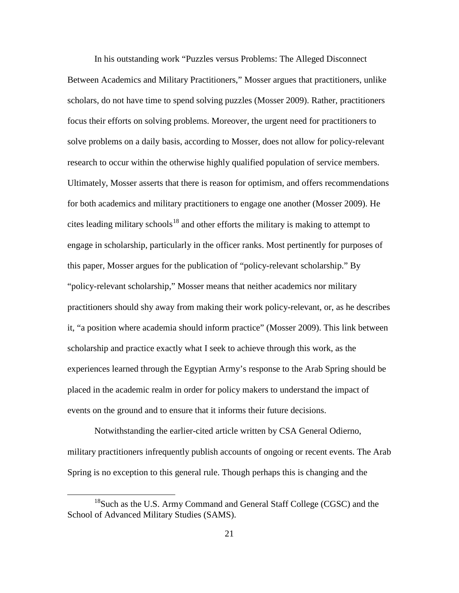In his outstanding work "Puzzles versus Problems: The Alleged Disconnect Between Academics and Military Practitioners," Mosser argues that practitioners, unlike scholars, do not have time to spend solving puzzles (Mosser 2009). Rather, practitioners focus their efforts on solving problems. Moreover, the urgent need for practitioners to solve problems on a daily basis, according to Mosser, does not allow for policy-relevant research to occur within the otherwise highly qualified population of service members. Ultimately, Mosser asserts that there is reason for optimism, and offers recommendations for both academics and military practitioners to engage one another (Mosser 2009). He cites leading military schools<sup>[18](#page-27-0)</sup> and other efforts the military is making to attempt to engage in scholarship, particularly in the officer ranks. Most pertinently for purposes of this paper, Mosser argues for the publication of "policy-relevant scholarship." By "policy-relevant scholarship," Mosser means that neither academics nor military practitioners should shy away from making their work policy-relevant, or, as he describes it, "a position where academia should inform practice" (Mosser 2009). This link between scholarship and practice exactly what I seek to achieve through this work, as the experiences learned through the Egyptian Army's response to the Arab Spring should be placed in the academic realm in order for policy makers to understand the impact of events on the ground and to ensure that it informs their future decisions.

Notwithstanding the earlier-cited article written by CSA General Odierno, military practitioners infrequently publish accounts of ongoing or recent events. The Arab Spring is no exception to this general rule. Though perhaps this is changing and the

<span id="page-27-0"></span> <sup>18</sup>Such as the U.S. Army Command and General Staff College (CGSC) and the School of Advanced Military Studies (SAMS).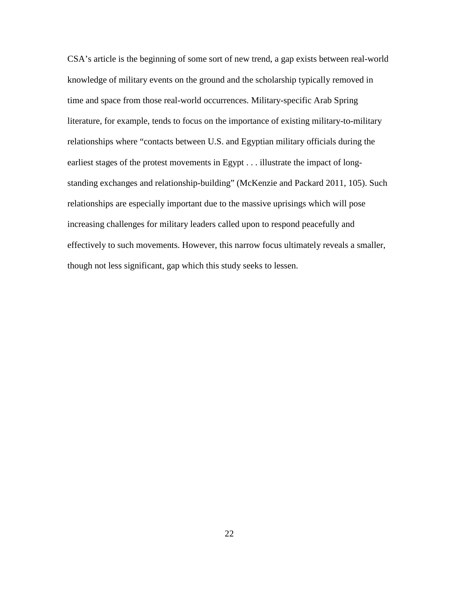CSA's article is the beginning of some sort of new trend, a gap exists between real-world knowledge of military events on the ground and the scholarship typically removed in time and space from those real-world occurrences. Military-specific Arab Spring literature, for example, tends to focus on the importance of existing military-to-military relationships where "contacts between U.S. and Egyptian military officials during the earliest stages of the protest movements in Egypt . . . illustrate the impact of longstanding exchanges and relationship-building" (McKenzie and Packard 2011, 105). Such relationships are especially important due to the massive uprisings which will pose increasing challenges for military leaders called upon to respond peacefully and effectively to such movements. However, this narrow focus ultimately reveals a smaller, though not less significant, gap which this study seeks to lessen.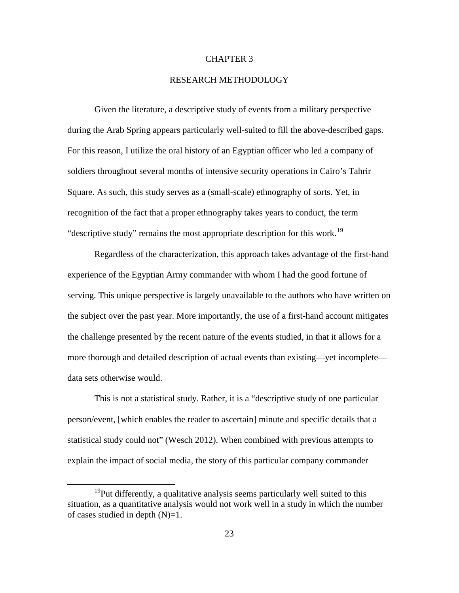# CHAPTER 3

# RESEARCH METHODOLOGY

Given the literature, a descriptive study of events from a military perspective during the Arab Spring appears particularly well-suited to fill the above-described gaps. For this reason, I utilize the oral history of an Egyptian officer who led a company of soldiers throughout several months of intensive security operations in Cairo's Tahrir Square. As such, this study serves as a (small-scale) ethnography of sorts. Yet, in recognition of the fact that a proper ethnography takes years to conduct, the term "descriptive study" remains the most appropriate description for this work.<sup>[19](#page-29-0)</sup>

Regardless of the characterization, this approach takes advantage of the first-hand experience of the Egyptian Army commander with whom I had the good fortune of serving. This unique perspective is largely unavailable to the authors who have written on the subject over the past year. More importantly, the use of a first-hand account mitigates the challenge presented by the recent nature of the events studied, in that it allows for a more thorough and detailed description of actual events than existing—yet incomplete data sets otherwise would.

This is not a statistical study. Rather, it is a "descriptive study of one particular person/event, [which enables the reader to ascertain] minute and specific details that a statistical study could not" (Wesch 2012). When combined with previous attempts to explain the impact of social media, the story of this particular company commander

<span id="page-29-0"></span> $19$ Put differently, a qualitative analysis seems particularly well suited to this situation, as a quantitative analysis would not work well in a study in which the number of cases studied in depth  $(N)=1$ .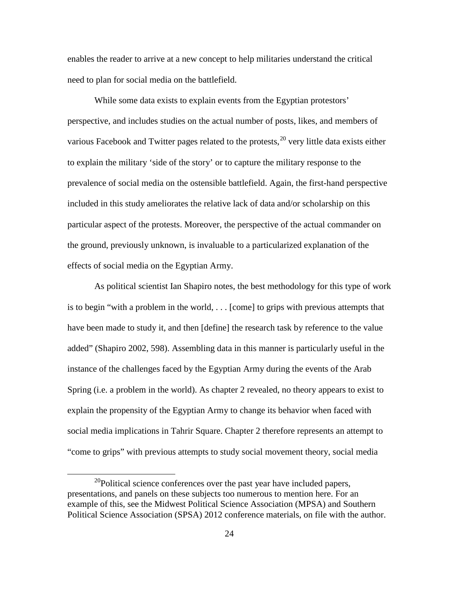enables the reader to arrive at a new concept to help militaries understand the critical need to plan for social media on the battlefield.

While some data exists to explain events from the Egyptian protestors' perspective, and includes studies on the actual number of posts, likes, and members of various Facebook and Twitter pages related to the protests,<sup>[20](#page-30-0)</sup> very little data exists either to explain the military 'side of the story' or to capture the military response to the prevalence of social media on the ostensible battlefield. Again, the first-hand perspective included in this study ameliorates the relative lack of data and/or scholarship on this particular aspect of the protests. Moreover, the perspective of the actual commander on the ground, previously unknown, is invaluable to a particularized explanation of the effects of social media on the Egyptian Army.

As political scientist Ian Shapiro notes, the best methodology for this type of work is to begin "with a problem in the world, . . . [come] to grips with previous attempts that have been made to study it, and then [define] the research task by reference to the value added" (Shapiro 2002, 598). Assembling data in this manner is particularly useful in the instance of the challenges faced by the Egyptian Army during the events of the Arab Spring (i.e. a problem in the world). As chapter 2 revealed, no theory appears to exist to explain the propensity of the Egyptian Army to change its behavior when faced with social media implications in Tahrir Square. Chapter 2 therefore represents an attempt to "come to grips" with previous attempts to study social movement theory, social media

<span id="page-30-0"></span> $^{20}$ Political science conferences over the past year have included papers, presentations, and panels on these subjects too numerous to mention here. For an example of this, see the Midwest Political Science Association (MPSA) and Southern Political Science Association (SPSA) 2012 conference materials, on file with the author.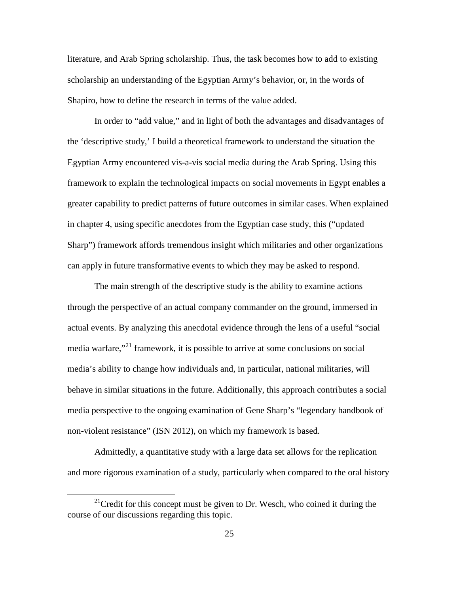literature, and Arab Spring scholarship. Thus, the task becomes how to add to existing scholarship an understanding of the Egyptian Army's behavior, or, in the words of Shapiro, how to define the research in terms of the value added.

In order to "add value," and in light of both the advantages and disadvantages of the 'descriptive study,' I build a theoretical framework to understand the situation the Egyptian Army encountered vis-a-vis social media during the Arab Spring. Using this framework to explain the technological impacts on social movements in Egypt enables a greater capability to predict patterns of future outcomes in similar cases. When explained in chapter 4, using specific anecdotes from the Egyptian case study, this ("updated Sharp") framework affords tremendous insight which militaries and other organizations can apply in future transformative events to which they may be asked to respond.

The main strength of the descriptive study is the ability to examine actions through the perspective of an actual company commander on the ground, immersed in actual events. By analyzing this anecdotal evidence through the lens of a useful "social media warfare,"[21](#page-31-0) framework, it is possible to arrive at some conclusions on social media's ability to change how individuals and, in particular, national militaries, will behave in similar situations in the future. Additionally, this approach contributes a social media perspective to the ongoing examination of Gene Sharp's "legendary handbook of non-violent resistance" (ISN 2012), on which my framework is based.

Admittedly, a quantitative study with a large data set allows for the replication and more rigorous examination of a study, particularly when compared to the oral history

<span id="page-31-0"></span><sup>&</sup>lt;sup>21</sup>Credit for this concept must be given to Dr. Wesch, who coined it during the course of our discussions regarding this topic.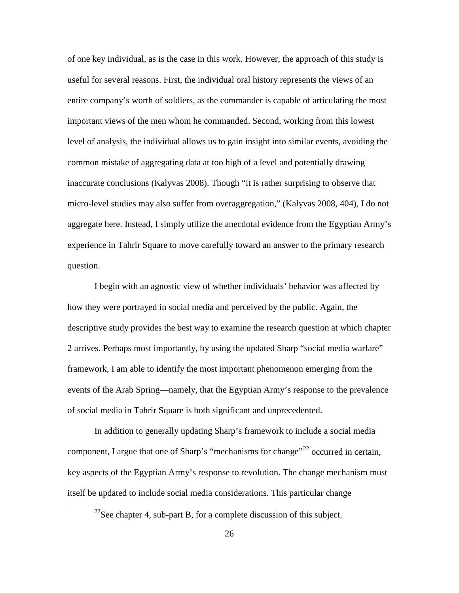of one key individual, as is the case in this work. However, the approach of this study is useful for several reasons. First, the individual oral history represents the views of an entire company's worth of soldiers, as the commander is capable of articulating the most important views of the men whom he commanded. Second, working from this lowest level of analysis, the individual allows us to gain insight into similar events, avoiding the common mistake of aggregating data at too high of a level and potentially drawing inaccurate conclusions (Kalyvas 2008). Though "it is rather surprising to observe that micro-level studies may also suffer from overaggregation," (Kalyvas 2008, 404), I do not aggregate here. Instead, I simply utilize the anecdotal evidence from the Egyptian Army's experience in Tahrir Square to move carefully toward an answer to the primary research question.

I begin with an agnostic view of whether individuals' behavior was affected by how they were portrayed in social media and perceived by the public. Again, the descriptive study provides the best way to examine the research question at which chapter 2 arrives. Perhaps most importantly, by using the updated Sharp "social media warfare" framework, I am able to identify the most important phenomenon emerging from the events of the Arab Spring—namely, that the Egyptian Army's response to the prevalence of social media in Tahrir Square is both significant and unprecedented.

In addition to generally updating Sharp's framework to include a social media component, I argue that one of Sharp's "mechanisms for change"<sup>[22](#page-32-0)</sup> occurred in certain, key aspects of the Egyptian Army's response to revolution. The change mechanism must itself be updated to include social media considerations. This particular change

<span id="page-32-0"></span> $^{22}$ See chapter 4, sub-part B, for a complete discussion of this subject.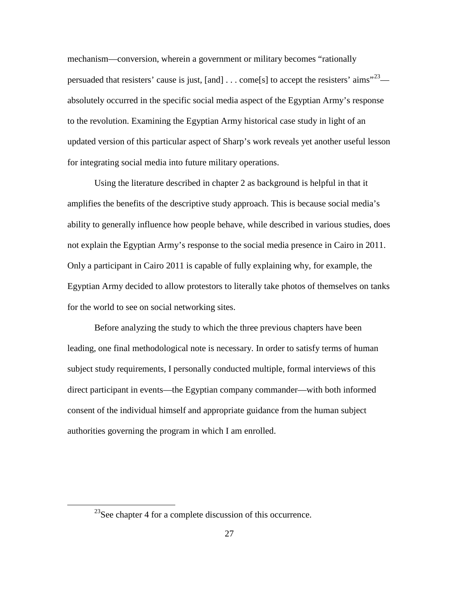mechanism—conversion, wherein a government or military becomes "rationally persuaded that resisters' cause is just, [and]  $\dots$  come[s] to accept the resisters' aims"<sup>[23](#page-33-0)</sup> absolutely occurred in the specific social media aspect of the Egyptian Army's response to the revolution. Examining the Egyptian Army historical case study in light of an updated version of this particular aspect of Sharp's work reveals yet another useful lesson for integrating social media into future military operations.

Using the literature described in chapter 2 as background is helpful in that it amplifies the benefits of the descriptive study approach. This is because social media's ability to generally influence how people behave, while described in various studies, does not explain the Egyptian Army's response to the social media presence in Cairo in 2011. Only a participant in Cairo 2011 is capable of fully explaining why, for example, the Egyptian Army decided to allow protestors to literally take photos of themselves on tanks for the world to see on social networking sites.

Before analyzing the study to which the three previous chapters have been leading, one final methodological note is necessary. In order to satisfy terms of human subject study requirements, I personally conducted multiple, formal interviews of this direct participant in events—the Egyptian company commander—with both informed consent of the individual himself and appropriate guidance from the human subject authorities governing the program in which I am enrolled.

<span id="page-33-0"></span><sup>&</sup>lt;sup>23</sup>See chapter 4 for a complete discussion of this occurrence.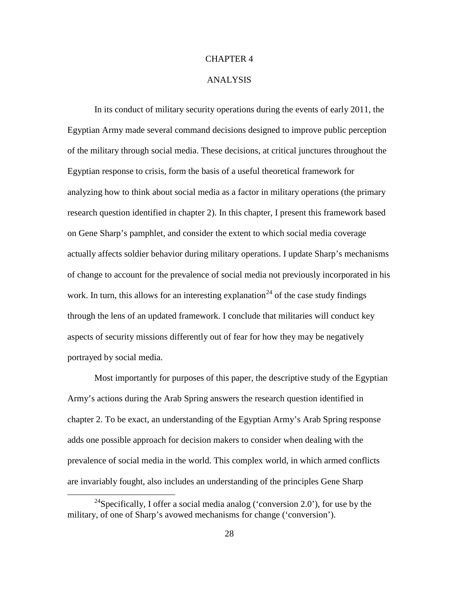# CHAPTER 4

## ANALYSIS

In its conduct of military security operations during the events of early 2011, the Egyptian Army made several command decisions designed to improve public perception of the military through social media. These decisions, at critical junctures throughout the Egyptian response to crisis, form the basis of a useful theoretical framework for analyzing how to think about social media as a factor in military operations (the primary research question identified in chapter 2). In this chapter, I present this framework based on Gene Sharp's pamphlet, and consider the extent to which social media coverage actually affects soldier behavior during military operations. I update Sharp's mechanisms of change to account for the prevalence of social media not previously incorporated in his work. In turn, this allows for an interesting explanation<sup>[24](#page-34-0)</sup> of the case study findings through the lens of an updated framework. I conclude that militaries will conduct key aspects of security missions differently out of fear for how they may be negatively portrayed by social media.

Most importantly for purposes of this paper, the descriptive study of the Egyptian Army's actions during the Arab Spring answers the research question identified in chapter 2. To be exact, an understanding of the Egyptian Army's Arab Spring response adds one possible approach for decision makers to consider when dealing with the prevalence of social media in the world. This complex world, in which armed conflicts are invariably fought, also includes an understanding of the principles Gene Sharp

<span id="page-34-0"></span><sup>&</sup>lt;sup>24</sup>Specifically, I offer a social media analog ('conversion 2.0'), for use by the military, of one of Sharp's avowed mechanisms for change ('conversion').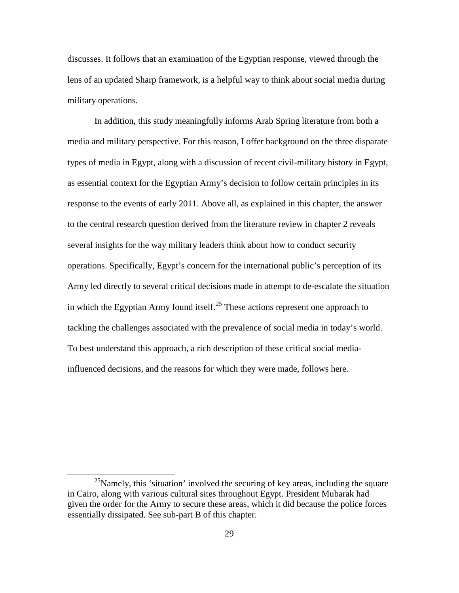discusses. It follows that an examination of the Egyptian response, viewed through the lens of an updated Sharp framework, is a helpful way to think about social media during military operations.

In addition, this study meaningfully informs Arab Spring literature from both a media and military perspective. For this reason, I offer background on the three disparate types of media in Egypt, along with a discussion of recent civil-military history in Egypt, as essential context for the Egyptian Army's decision to follow certain principles in its response to the events of early 2011. Above all, as explained in this chapter, the answer to the central research question derived from the literature review in chapter 2 reveals several insights for the way military leaders think about how to conduct security operations. Specifically, Egypt's concern for the international public's perception of its Army led directly to several critical decisions made in attempt to de-escalate the situation in which the Egyptian Army found itself.<sup>[25](#page-35-0)</sup> These actions represent one approach to tackling the challenges associated with the prevalence of social media in today's world. To best understand this approach, a rich description of these critical social mediainfluenced decisions, and the reasons for which they were made, follows here.

<span id="page-35-0"></span><sup>&</sup>lt;sup>25</sup>Namely, this 'situation' involved the securing of key areas, including the square in Cairo, along with various cultural sites throughout Egypt. President Mubarak had given the order for the Army to secure these areas, which it did because the police forces essentially dissipated. See sub-part B of this chapter.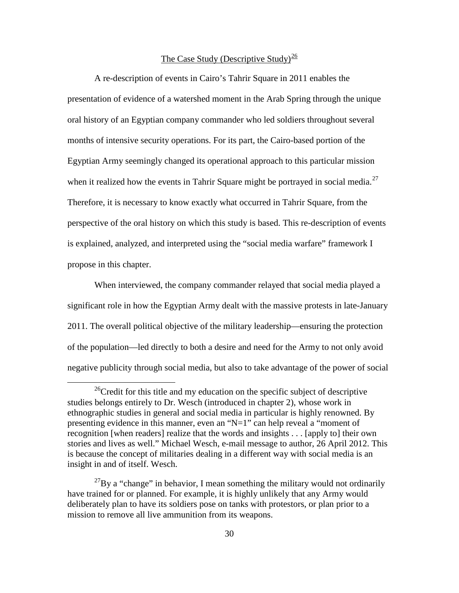# The Case Study (Descriptive Study) $\frac{26}{5}$  $\frac{26}{5}$  $\frac{26}{5}$

A re-description of events in Cairo's Tahrir Square in 2011 enables the presentation of evidence of a watershed moment in the Arab Spring through the unique oral history of an Egyptian company commander who led soldiers throughout several months of intensive security operations. For its part, the Cairo-based portion of the Egyptian Army seemingly changed its operational approach to this particular mission when it realized how the events in Tahrir Square might be portrayed in social media.<sup>[27](#page-36-1)</sup> Therefore, it is necessary to know exactly what occurred in Tahrir Square, from the perspective of the oral history on which this study is based. This re-description of events is explained, analyzed, and interpreted using the "social media warfare" framework I propose in this chapter.

When interviewed, the company commander relayed that social media played a significant role in how the Egyptian Army dealt with the massive protests in late-January 2011. The overall political objective of the military leadership—ensuring the protection of the population—led directly to both a desire and need for the Army to not only avoid negative publicity through social media, but also to take advantage of the power of social

<span id="page-36-0"></span><sup>&</sup>lt;sup>26</sup>Credit for this title and my education on the specific subject of descriptive studies belongs entirely to Dr. Wesch (introduced in chapter 2), whose work in ethnographic studies in general and social media in particular is highly renowned. By presenting evidence in this manner, even an "N=1" can help reveal a "moment of recognition [when readers] realize that the words and insights . . . [apply to] their own stories and lives as well." Michael Wesch, e-mail message to author, 26 April 2012. This is because the concept of militaries dealing in a different way with social media is an insight in and of itself. Wesch.

<span id="page-36-1"></span> $^{27}$ By a "change" in behavior, I mean something the military would not ordinarily have trained for or planned. For example, it is highly unlikely that any Army would deliberately plan to have its soldiers pose on tanks with protestors, or plan prior to a mission to remove all live ammunition from its weapons.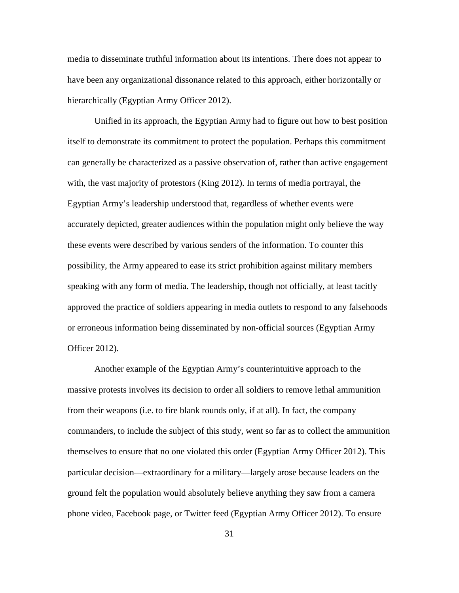media to disseminate truthful information about its intentions. There does not appear to have been any organizational dissonance related to this approach, either horizontally or hierarchically (Egyptian Army Officer 2012).

Unified in its approach, the Egyptian Army had to figure out how to best position itself to demonstrate its commitment to protect the population. Perhaps this commitment can generally be characterized as a passive observation of, rather than active engagement with, the vast majority of protestors (King 2012). In terms of media portrayal, the Egyptian Army's leadership understood that, regardless of whether events were accurately depicted, greater audiences within the population might only believe the way these events were described by various senders of the information. To counter this possibility, the Army appeared to ease its strict prohibition against military members speaking with any form of media. The leadership, though not officially, at least tacitly approved the practice of soldiers appearing in media outlets to respond to any falsehoods or erroneous information being disseminated by non-official sources (Egyptian Army Officer 2012).

Another example of the Egyptian Army's counterintuitive approach to the massive protests involves its decision to order all soldiers to remove lethal ammunition from their weapons (i.e. to fire blank rounds only, if at all). In fact, the company commanders, to include the subject of this study, went so far as to collect the ammunition themselves to ensure that no one violated this order (Egyptian Army Officer 2012). This particular decision—extraordinary for a military—largely arose because leaders on the ground felt the population would absolutely believe anything they saw from a camera phone video, Facebook page, or Twitter feed (Egyptian Army Officer 2012). To ensure

31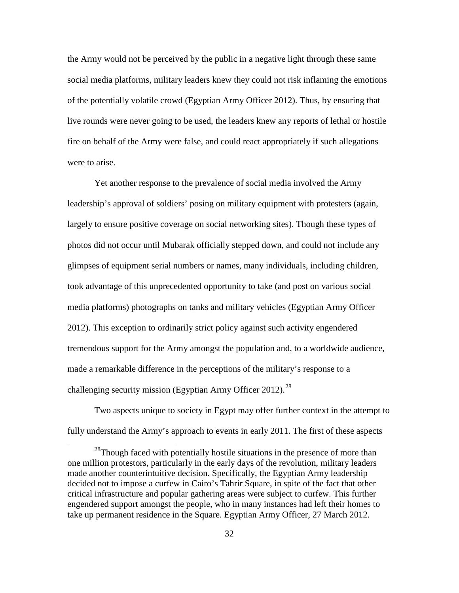the Army would not be perceived by the public in a negative light through these same social media platforms, military leaders knew they could not risk inflaming the emotions of the potentially volatile crowd (Egyptian Army Officer 2012). Thus, by ensuring that live rounds were never going to be used, the leaders knew any reports of lethal or hostile fire on behalf of the Army were false, and could react appropriately if such allegations were to arise.

Yet another response to the prevalence of social media involved the Army leadership's approval of soldiers' posing on military equipment with protesters (again, largely to ensure positive coverage on social networking sites). Though these types of photos did not occur until Mubarak officially stepped down, and could not include any glimpses of equipment serial numbers or names, many individuals, including children, took advantage of this unprecedented opportunity to take (and post on various social media platforms) photographs on tanks and military vehicles (Egyptian Army Officer 2012). This exception to ordinarily strict policy against such activity engendered tremendous support for the Army amongst the population and, to a worldwide audience, made a remarkable difference in the perceptions of the military's response to a challenging security mission (Egyptian Army Officer 2012).<sup>[28](#page-38-0)</sup>

Two aspects unique to society in Egypt may offer further context in the attempt to fully understand the Army's approach to events in early 2011. The first of these aspects

<span id="page-38-0"></span><sup>&</sup>lt;sup>28</sup>Though faced with potentially hostile situations in the presence of more than one million protestors, particularly in the early days of the revolution, military leaders made another counterintuitive decision. Specifically, the Egyptian Army leadership decided not to impose a curfew in Cairo's Tahrir Square, in spite of the fact that other critical infrastructure and popular gathering areas were subject to curfew. This further engendered support amongst the people, who in many instances had left their homes to take up permanent residence in the Square. Egyptian Army Officer, 27 March 2012.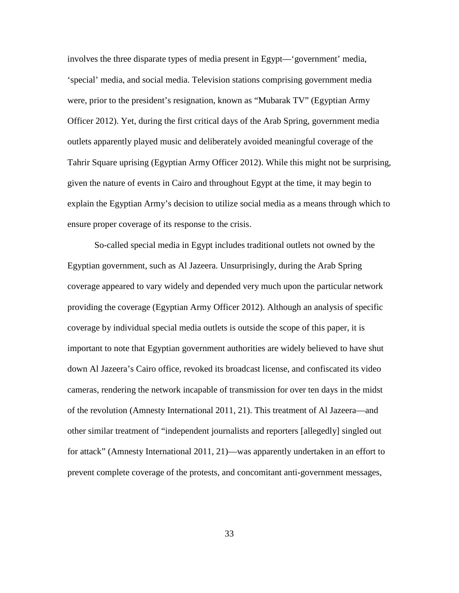involves the three disparate types of media present in Egypt—'government' media, 'special' media, and social media. Television stations comprising government media were, prior to the president's resignation, known as "Mubarak TV" (Egyptian Army Officer 2012). Yet, during the first critical days of the Arab Spring, government media outlets apparently played music and deliberately avoided meaningful coverage of the Tahrir Square uprising (Egyptian Army Officer 2012). While this might not be surprising, given the nature of events in Cairo and throughout Egypt at the time, it may begin to explain the Egyptian Army's decision to utilize social media as a means through which to ensure proper coverage of its response to the crisis.

So-called special media in Egypt includes traditional outlets not owned by the Egyptian government, such as Al Jazeera. Unsurprisingly, during the Arab Spring coverage appeared to vary widely and depended very much upon the particular network providing the coverage (Egyptian Army Officer 2012). Although an analysis of specific coverage by individual special media outlets is outside the scope of this paper, it is important to note that Egyptian government authorities are widely believed to have shut down Al Jazeera's Cairo office, revoked its broadcast license, and confiscated its video cameras, rendering the network incapable of transmission for over ten days in the midst of the revolution (Amnesty International 2011, 21). This treatment of Al Jazeera—and other similar treatment of "independent journalists and reporters [allegedly] singled out for attack" (Amnesty International 2011, 21)—was apparently undertaken in an effort to prevent complete coverage of the protests, and concomitant anti-government messages,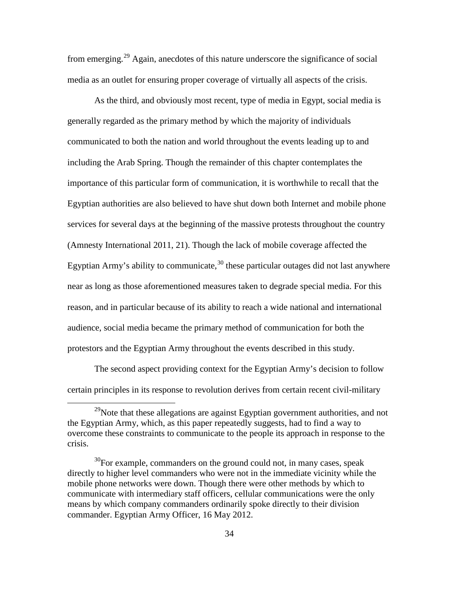from emerging.<sup>[29](#page-40-0)</sup> Again, anecdotes of this nature underscore the significance of social media as an outlet for ensuring proper coverage of virtually all aspects of the crisis.

As the third, and obviously most recent, type of media in Egypt, social media is generally regarded as the primary method by which the majority of individuals communicated to both the nation and world throughout the events leading up to and including the Arab Spring. Though the remainder of this chapter contemplates the importance of this particular form of communication, it is worthwhile to recall that the Egyptian authorities are also believed to have shut down both Internet and mobile phone services for several days at the beginning of the massive protests throughout the country (Amnesty International 2011, 21). Though the lack of mobile coverage affected the Egyptian Army's ability to communicate,  $30$  these particular outages did not last anywhere near as long as those aforementioned measures taken to degrade special media. For this reason, and in particular because of its ability to reach a wide national and international audience, social media became the primary method of communication for both the protestors and the Egyptian Army throughout the events described in this study.

The second aspect providing context for the Egyptian Army's decision to follow certain principles in its response to revolution derives from certain recent civil-military

<span id="page-40-0"></span> $^{29}$ Note that these allegations are against Egyptian government authorities, and not the Egyptian Army, which, as this paper repeatedly suggests, had to find a way to overcome these constraints to communicate to the people its approach in response to the crisis.

<span id="page-40-1"></span><sup>&</sup>lt;sup>30</sup>For example, commanders on the ground could not, in many cases, speak directly to higher level commanders who were not in the immediate vicinity while the mobile phone networks were down. Though there were other methods by which to communicate with intermediary staff officers, cellular communications were the only means by which company commanders ordinarily spoke directly to their division commander. Egyptian Army Officer, 16 May 2012.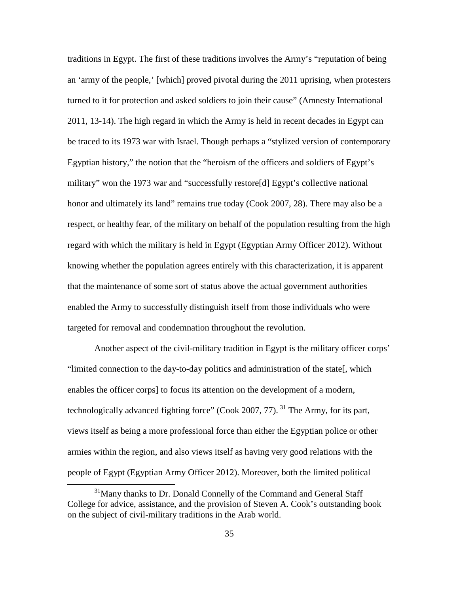traditions in Egypt. The first of these traditions involves the Army's "reputation of being an 'army of the people,' [which] proved pivotal during the 2011 uprising, when protesters turned to it for protection and asked soldiers to join their cause" (Amnesty International 2011, 13-14). The high regard in which the Army is held in recent decades in Egypt can be traced to its 1973 war with Israel. Though perhaps a "stylized version of contemporary Egyptian history," the notion that the "heroism of the officers and soldiers of Egypt's military" won the 1973 war and "successfully restore[d] Egypt's collective national honor and ultimately its land" remains true today (Cook 2007, 28). There may also be a respect, or healthy fear, of the military on behalf of the population resulting from the high regard with which the military is held in Egypt (Egyptian Army Officer 2012). Without knowing whether the population agrees entirely with this characterization, it is apparent that the maintenance of some sort of status above the actual government authorities enabled the Army to successfully distinguish itself from those individuals who were targeted for removal and condemnation throughout the revolution.

Another aspect of the civil-military tradition in Egypt is the military officer corps' "limited connection to the day-to-day politics and administration of the state[, which enables the officer corps] to focus its attention on the development of a modern, technologically advanced fighting force" (Cook 2007, 77). <sup>[31](#page-41-0)</sup> The Army, for its part, views itself as being a more professional force than either the Egyptian police or other armies within the region, and also views itself as having very good relations with the people of Egypt (Egyptian Army Officer 2012). Moreover, both the limited political

<span id="page-41-0"></span><sup>&</sup>lt;sup>31</sup>Many thanks to Dr. Donald Connelly of the Command and General Staff College for advice, assistance, and the provision of Steven A. Cook's outstanding book on the subject of civil-military traditions in the Arab world.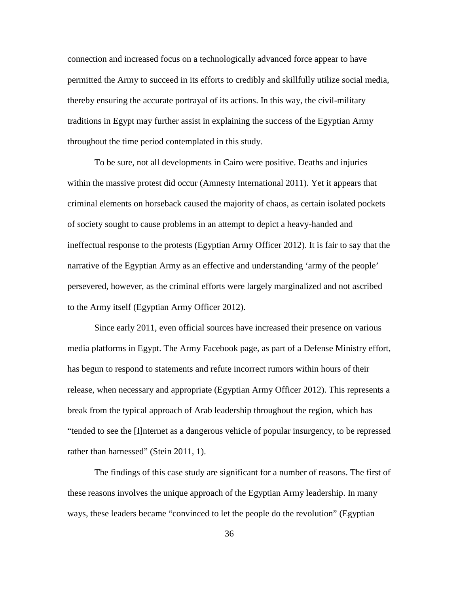connection and increased focus on a technologically advanced force appear to have permitted the Army to succeed in its efforts to credibly and skillfully utilize social media, thereby ensuring the accurate portrayal of its actions. In this way, the civil-military traditions in Egypt may further assist in explaining the success of the Egyptian Army throughout the time period contemplated in this study.

To be sure, not all developments in Cairo were positive. Deaths and injuries within the massive protest did occur (Amnesty International 2011). Yet it appears that criminal elements on horseback caused the majority of chaos, as certain isolated pockets of society sought to cause problems in an attempt to depict a heavy-handed and ineffectual response to the protests (Egyptian Army Officer 2012). It is fair to say that the narrative of the Egyptian Army as an effective and understanding 'army of the people' persevered, however, as the criminal efforts were largely marginalized and not ascribed to the Army itself (Egyptian Army Officer 2012).

Since early 2011, even official sources have increased their presence on various media platforms in Egypt. The Army Facebook page, as part of a Defense Ministry effort, has begun to respond to statements and refute incorrect rumors within hours of their release, when necessary and appropriate (Egyptian Army Officer 2012). This represents a break from the typical approach of Arab leadership throughout the region, which has "tended to see the [I]nternet as a dangerous vehicle of popular insurgency, to be repressed rather than harnessed" (Stein 2011, 1).

The findings of this case study are significant for a number of reasons. The first of these reasons involves the unique approach of the Egyptian Army leadership. In many ways, these leaders became "convinced to let the people do the revolution" (Egyptian

36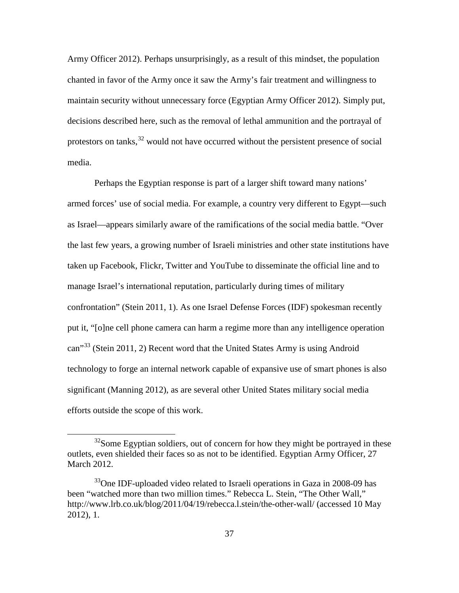Army Officer 2012). Perhaps unsurprisingly, as a result of this mindset, the population chanted in favor of the Army once it saw the Army's fair treatment and willingness to maintain security without unnecessary force (Egyptian Army Officer 2012). Simply put, decisions described here, such as the removal of lethal ammunition and the portrayal of protestors on tanks,  $32$  would not have occurred without the persistent presence of social media.

Perhaps the Egyptian response is part of a larger shift toward many nations' armed forces' use of social media. For example, a country very different to Egypt—such as Israel—appears similarly aware of the ramifications of the social media battle. "Over the last few years, a growing number of Israeli ministries and other state institutions have taken up Facebook, Flickr, Twitter and YouTube to disseminate the official line and to manage Israel's international reputation, particularly during times of military confrontation" (Stein 2011, 1). As one Israel Defense Forces (IDF) spokesman recently put it, "[o]ne cell phone camera can harm a regime more than any intelligence operation can<sup>[33](#page-43-1)3</sup> (Stein 2011, 2) Recent word that the United States Army is using Android technology to forge an internal network capable of expansive use of smart phones is also significant (Manning 2012), as are several other United States military social media efforts outside the scope of this work.

<span id="page-43-0"></span> $32$ Some Egyptian soldiers, out of concern for how they might be portrayed in these outlets, even shielded their faces so as not to be identified. Egyptian Army Officer, 27 March 2012.

<span id="page-43-1"></span> $33^3$ One IDF-uploaded video related to Israeli operations in Gaza in 2008-09 has been "watched more than two million times." Rebecca L. Stein, "The Other Wall," http://www.lrb.co.uk/blog/2011/04/19/rebecca.l.stein/the-other-wall/ (accessed 10 May 2012), 1.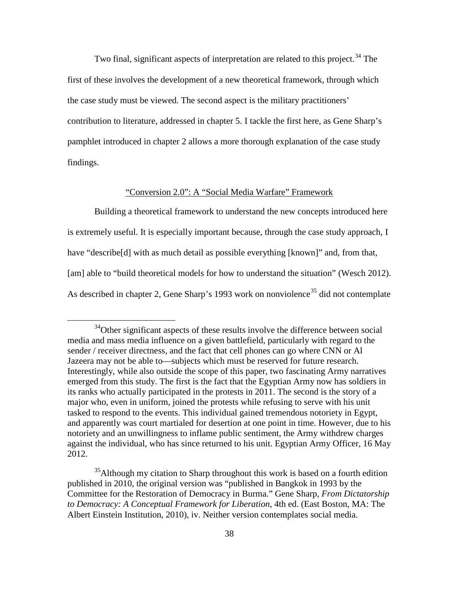Two final, significant aspects of interpretation are related to this project.<sup>[34](#page-44-0)</sup> The first of these involves the development of a new theoretical framework, through which the case study must be viewed. The second aspect is the military practitioners' contribution to literature, addressed in chapter 5. I tackle the first here, as Gene Sharp's pamphlet introduced in chapter 2 allows a more thorough explanation of the case study findings.

# "Conversion 2.0": A "Social Media Warfare" Framework

Building a theoretical framework to understand the new concepts introduced here is extremely useful. It is especially important because, through the case study approach, I have "describe<sup>[d]</sup> with as much detail as possible everything [known]" and, from that, [am] able to "build theoretical models for how to understand the situation" (Wesch 2012). As described in chapter 2, Gene Sharp's 1993 work on nonviolence<sup>[35](#page-44-1)</sup> did not contemplate

<span id="page-44-0"></span><sup>&</sup>lt;sup>34</sup>Other significant aspects of these results involve the difference between social media and mass media influence on a given battlefield, particularly with regard to the sender / receiver directness, and the fact that cell phones can go where CNN or Al Jazeera may not be able to—subjects which must be reserved for future research. Interestingly, while also outside the scope of this paper, two fascinating Army narratives emerged from this study. The first is the fact that the Egyptian Army now has soldiers in its ranks who actually participated in the protests in 2011. The second is the story of a major who, even in uniform, joined the protests while refusing to serve with his unit tasked to respond to the events. This individual gained tremendous notoriety in Egypt, and apparently was court martialed for desertion at one point in time. However, due to his notoriety and an unwillingness to inflame public sentiment, the Army withdrew charges against the individual, who has since returned to his unit. Egyptian Army Officer, 16 May 2012.

<span id="page-44-1"></span><sup>&</sup>lt;sup>35</sup>Although my citation to Sharp throughout this work is based on a fourth edition published in 2010, the original version was "published in Bangkok in 1993 by the Committee for the Restoration of Democracy in Burma." Gene Sharp, *From Dictatorship to Democracy: A Conceptual Framework for Liberation*, 4th ed. (East Boston, MA: The Albert Einstein Institution, 2010), iv. Neither version contemplates social media.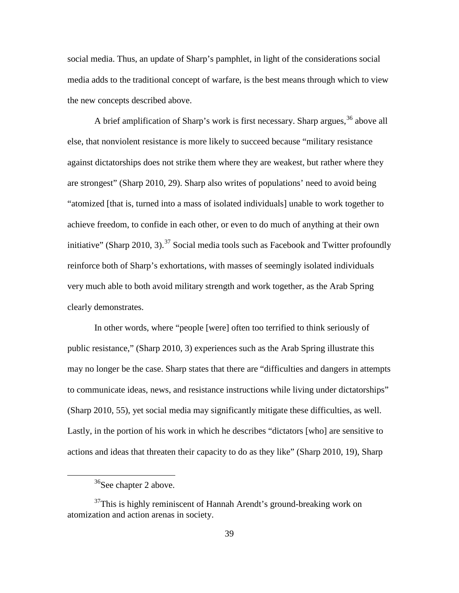social media. Thus, an update of Sharp's pamphlet, in light of the considerations social media adds to the traditional concept of warfare, is the best means through which to view the new concepts described above.

A brief amplification of Sharp's work is first necessary. Sharp argues,  $36$  above all else, that nonviolent resistance is more likely to succeed because "military resistance against dictatorships does not strike them where they are weakest, but rather where they are strongest" (Sharp 2010, 29). Sharp also writes of populations' need to avoid being "atomized [that is, turned into a mass of isolated individuals] unable to work together to achieve freedom, to confide in each other, or even to do much of anything at their own initiative" (Sharp 2010, 3).<sup>[37](#page-45-1)</sup> Social media tools such as Facebook and Twitter profoundly reinforce both of Sharp's exhortations, with masses of seemingly isolated individuals very much able to both avoid military strength and work together, as the Arab Spring clearly demonstrates.

In other words, where "people [were] often too terrified to think seriously of public resistance," (Sharp 2010, 3) experiences such as the Arab Spring illustrate this may no longer be the case. Sharp states that there are "difficulties and dangers in attempts to communicate ideas, news, and resistance instructions while living under dictatorships" (Sharp 2010, 55), yet social media may significantly mitigate these difficulties, as well. Lastly, in the portion of his work in which he describes "dictators [who] are sensitive to actions and ideas that threaten their capacity to do as they like" (Sharp 2010, 19), Sharp

<sup>&</sup>lt;sup>36</sup>See chapter 2 above.

<span id="page-45-1"></span><span id="page-45-0"></span> $37$ This is highly reminiscent of Hannah Arendt's ground-breaking work on atomization and action arenas in society.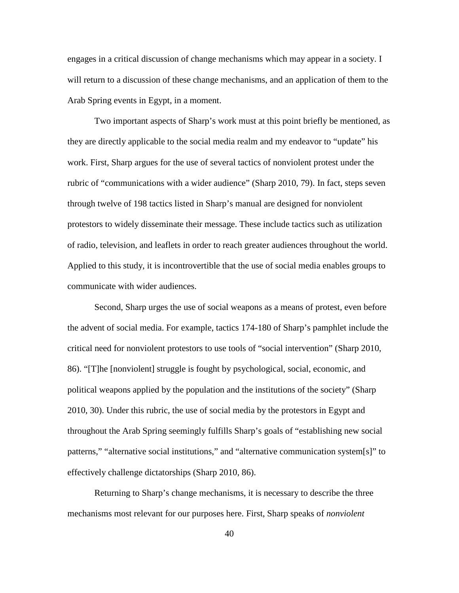engages in a critical discussion of change mechanisms which may appear in a society. I will return to a discussion of these change mechanisms, and an application of them to the Arab Spring events in Egypt, in a moment.

Two important aspects of Sharp's work must at this point briefly be mentioned, as they are directly applicable to the social media realm and my endeavor to "update" his work. First, Sharp argues for the use of several tactics of nonviolent protest under the rubric of "communications with a wider audience" (Sharp 2010, 79). In fact, steps seven through twelve of 198 tactics listed in Sharp's manual are designed for nonviolent protestors to widely disseminate their message. These include tactics such as utilization of radio, television, and leaflets in order to reach greater audiences throughout the world. Applied to this study, it is incontrovertible that the use of social media enables groups to communicate with wider audiences.

Second, Sharp urges the use of social weapons as a means of protest, even before the advent of social media. For example, tactics 174-180 of Sharp's pamphlet include the critical need for nonviolent protestors to use tools of "social intervention" (Sharp 2010, 86). "[T]he [nonviolent] struggle is fought by psychological, social, economic, and political weapons applied by the population and the institutions of the society" (Sharp 2010, 30). Under this rubric, the use of social media by the protestors in Egypt and throughout the Arab Spring seemingly fulfills Sharp's goals of "establishing new social patterns," "alternative social institutions," and "alternative communication system[s]" to effectively challenge dictatorships (Sharp 2010, 86).

Returning to Sharp's change mechanisms, it is necessary to describe the three mechanisms most relevant for our purposes here. First, Sharp speaks of *nonviolent*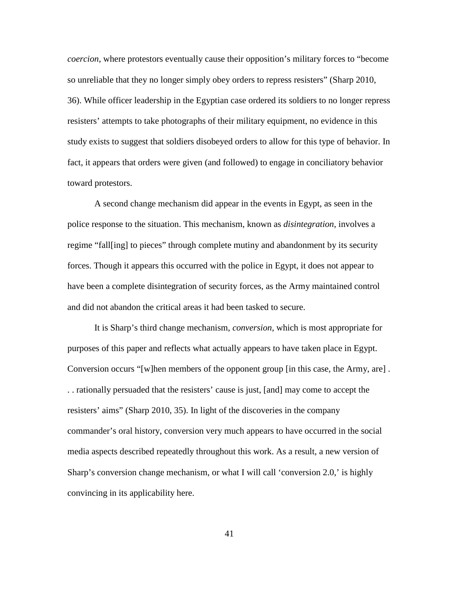*coercion*, where protestors eventually cause their opposition's military forces to "become so unreliable that they no longer simply obey orders to repress resisters" (Sharp 2010, 36). While officer leadership in the Egyptian case ordered its soldiers to no longer repress resisters' attempts to take photographs of their military equipment, no evidence in this study exists to suggest that soldiers disobeyed orders to allow for this type of behavior. In fact, it appears that orders were given (and followed) to engage in conciliatory behavior toward protestors.

A second change mechanism did appear in the events in Egypt, as seen in the police response to the situation. This mechanism, known as *disintegration*, involves a regime "fall[ing] to pieces" through complete mutiny and abandonment by its security forces. Though it appears this occurred with the police in Egypt, it does not appear to have been a complete disintegration of security forces, as the Army maintained control and did not abandon the critical areas it had been tasked to secure.

It is Sharp's third change mechanism, *conversion*, which is most appropriate for purposes of this paper and reflects what actually appears to have taken place in Egypt. Conversion occurs "[w]hen members of the opponent group [in this case, the Army, are] . . . rationally persuaded that the resisters' cause is just, [and] may come to accept the resisters' aims" (Sharp 2010, 35). In light of the discoveries in the company commander's oral history, conversion very much appears to have occurred in the social media aspects described repeatedly throughout this work. As a result, a new version of Sharp's conversion change mechanism, or what I will call 'conversion 2.0,' is highly convincing in its applicability here.

41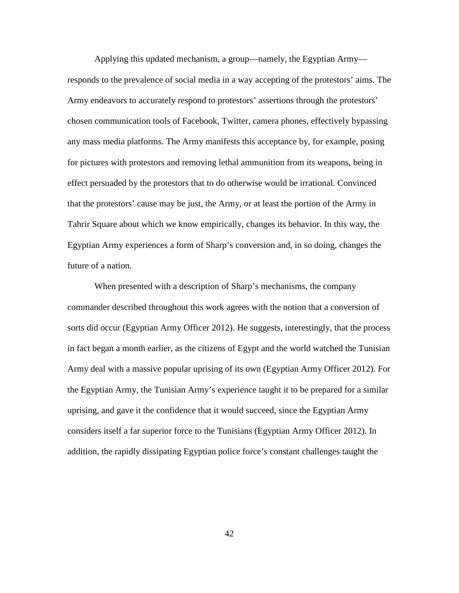Applying this updated mechanism, a group—namely, the Egyptian Army responds to the prevalence of social media in a way accepting of the protestors' aims. The Army endeavors to accurately respond to protestors' assertions through the protestors' chosen communication tools of Facebook, Twitter, camera phones, effectively bypassing any mass media platforms. The Army manifests this acceptance by, for example, posing for pictures with protestors and removing lethal ammunition from its weapons, being in effect persuaded by the protestors that to do otherwise would be irrational. Convinced that the protestors' cause may be just, the Army, or at least the portion of the Army in Tahrir Square about which we know empirically, changes its behavior. In this way, the Egyptian Army experiences a form of Sharp's conversion and, in so doing, changes the future of a nation.

When presented with a description of Sharp's mechanisms, the company commander described throughout this work agrees with the notion that a conversion of sorts did occur (Egyptian Army Officer 2012). He suggests, interestingly, that the process in fact began a month earlier, as the citizens of Egypt and the world watched the Tunisian Army deal with a massive popular uprising of its own (Egyptian Army Officer 2012). For the Egyptian Army, the Tunisian Army's experience taught it to be prepared for a similar uprising, and gave it the confidence that it would succeed, since the Egyptian Army considers itself a far superior force to the Tunisians (Egyptian Army Officer 2012). In addition, the rapidly dissipating Egyptian police force's constant challenges taught the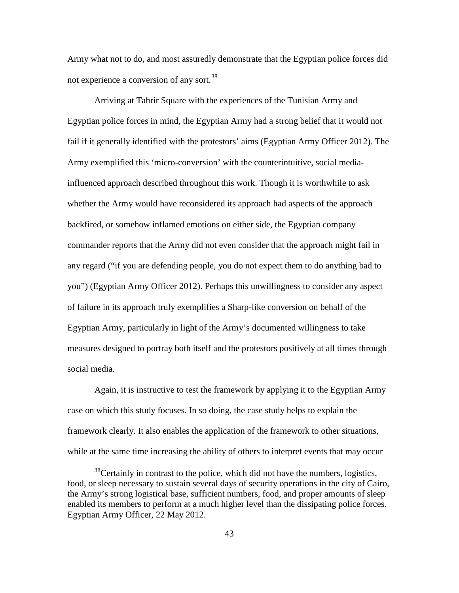Army what not to do, and most assuredly demonstrate that the Egyptian police forces did not experience a conversion of any sort.<sup>[38](#page-49-0)</sup>

Arriving at Tahrir Square with the experiences of the Tunisian Army and Egyptian police forces in mind, the Egyptian Army had a strong belief that it would not fail if it generally identified with the protestors' aims (Egyptian Army Officer 2012). The Army exemplified this 'micro-conversion' with the counterintuitive, social mediainfluenced approach described throughout this work. Though it is worthwhile to ask whether the Army would have reconsidered its approach had aspects of the approach backfired, or somehow inflamed emotions on either side, the Egyptian company commander reports that the Army did not even consider that the approach might fail in any regard ("if you are defending people, you do not expect them to do anything bad to you") (Egyptian Army Officer 2012). Perhaps this unwillingness to consider any aspect of failure in its approach truly exemplifies a Sharp-like conversion on behalf of the Egyptian Army, particularly in light of the Army's documented willingness to take measures designed to portray both itself and the protestors positively at all times through social media.

Again, it is instructive to test the framework by applying it to the Egyptian Army case on which this study focuses. In so doing, the case study helps to explain the framework clearly. It also enables the application of the framework to other situations, while at the same time increasing the ability of others to interpret events that may occur

<span id="page-49-0"></span> $38$ Certainly in contrast to the police, which did not have the numbers, logistics, food, or sleep necessary to sustain several days of security operations in the city of Cairo, the Army's strong logistical base, sufficient numbers, food, and proper amounts of sleep enabled its members to perform at a much higher level than the dissipating police forces. Egyptian Army Officer, 22 May 2012.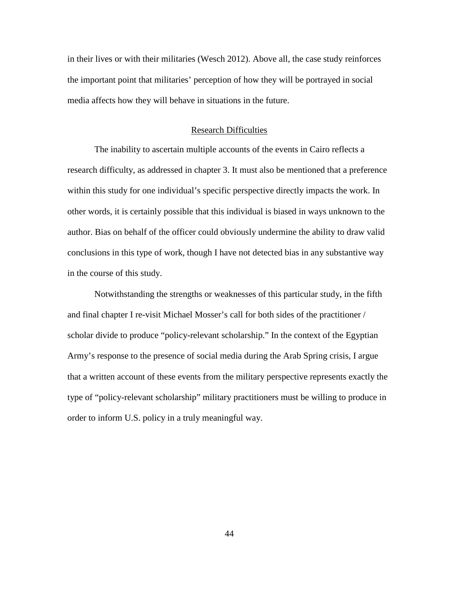in their lives or with their militaries (Wesch 2012). Above all, the case study reinforces the important point that militaries' perception of how they will be portrayed in social media affects how they will behave in situations in the future.

#### Research Difficulties

The inability to ascertain multiple accounts of the events in Cairo reflects a research difficulty, as addressed in chapter 3. It must also be mentioned that a preference within this study for one individual's specific perspective directly impacts the work. In other words, it is certainly possible that this individual is biased in ways unknown to the author. Bias on behalf of the officer could obviously undermine the ability to draw valid conclusions in this type of work, though I have not detected bias in any substantive way in the course of this study.

Notwithstanding the strengths or weaknesses of this particular study, in the fifth and final chapter I re-visit Michael Mosser's call for both sides of the practitioner / scholar divide to produce "policy-relevant scholarship." In the context of the Egyptian Army's response to the presence of social media during the Arab Spring crisis, I argue that a written account of these events from the military perspective represents exactly the type of "policy-relevant scholarship" military practitioners must be willing to produce in order to inform U.S. policy in a truly meaningful way.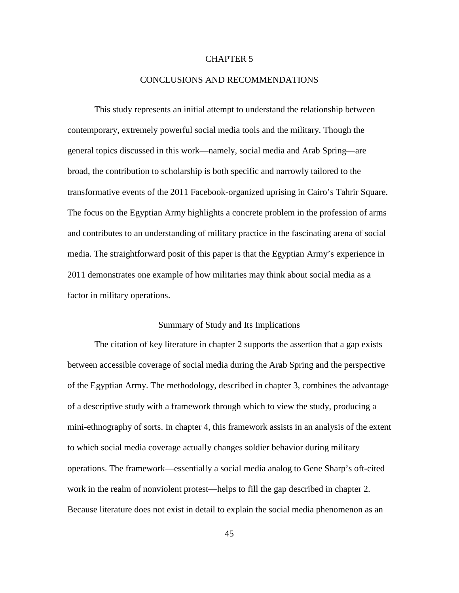# CHAPTER 5

### CONCLUSIONS AND RECOMMENDATIONS

This study represents an initial attempt to understand the relationship between contemporary, extremely powerful social media tools and the military. Though the general topics discussed in this work—namely, social media and Arab Spring—are broad, the contribution to scholarship is both specific and narrowly tailored to the transformative events of the 2011 Facebook-organized uprising in Cairo's Tahrir Square. The focus on the Egyptian Army highlights a concrete problem in the profession of arms and contributes to an understanding of military practice in the fascinating arena of social media. The straightforward posit of this paper is that the Egyptian Army's experience in 2011 demonstrates one example of how militaries may think about social media as a factor in military operations.

#### Summary of Study and Its Implications

The citation of key literature in chapter 2 supports the assertion that a gap exists between accessible coverage of social media during the Arab Spring and the perspective of the Egyptian Army. The methodology, described in chapter 3, combines the advantage of a descriptive study with a framework through which to view the study, producing a mini-ethnography of sorts. In chapter 4, this framework assists in an analysis of the extent to which social media coverage actually changes soldier behavior during military operations. The framework—essentially a social media analog to Gene Sharp's oft-cited work in the realm of nonviolent protest—helps to fill the gap described in chapter 2. Because literature does not exist in detail to explain the social media phenomenon as an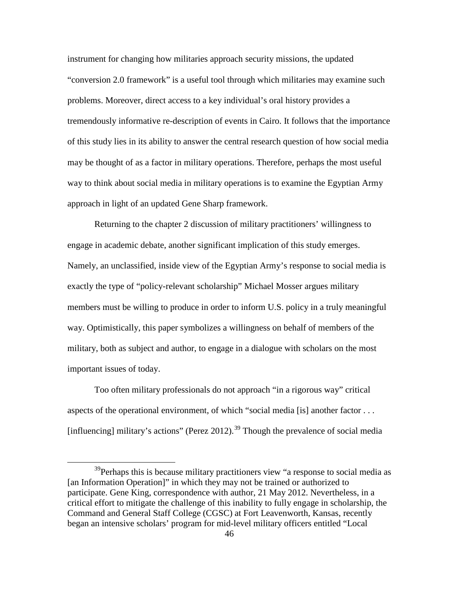instrument for changing how militaries approach security missions, the updated "conversion 2.0 framework" is a useful tool through which militaries may examine such problems. Moreover, direct access to a key individual's oral history provides a tremendously informative re-description of events in Cairo. It follows that the importance of this study lies in its ability to answer the central research question of how social media may be thought of as a factor in military operations. Therefore, perhaps the most useful way to think about social media in military operations is to examine the Egyptian Army approach in light of an updated Gene Sharp framework.

Returning to the chapter 2 discussion of military practitioners' willingness to engage in academic debate, another significant implication of this study emerges. Namely, an unclassified, inside view of the Egyptian Army's response to social media is exactly the type of "policy-relevant scholarship" Michael Mosser argues military members must be willing to produce in order to inform U.S. policy in a truly meaningful way. Optimistically, this paper symbolizes a willingness on behalf of members of the military, both as subject and author, to engage in a dialogue with scholars on the most important issues of today.

Too often military professionals do not approach "in a rigorous way" critical aspects of the operational environment, of which "social media [is] another factor . . . [influencing] military's actions" (Perez 2012).<sup>[39](#page-52-0)</sup> Though the prevalence of social media

<span id="page-52-0"></span><sup>&</sup>lt;sup>39</sup>Perhaps this is because military practitioners view "a response to social media as [an Information Operation]" in which they may not be trained or authorized to participate. Gene King, correspondence with author, 21 May 2012. Nevertheless, in a critical effort to mitigate the challenge of this inability to fully engage in scholarship, the Command and General Staff College (CGSC) at Fort Leavenworth, Kansas, recently began an intensive scholars' program for mid-level military officers entitled "Local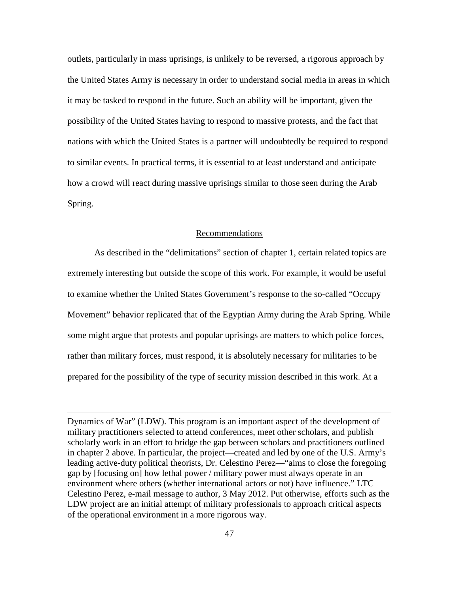outlets, particularly in mass uprisings, is unlikely to be reversed, a rigorous approach by the United States Army is necessary in order to understand social media in areas in which it may be tasked to respond in the future. Such an ability will be important, given the possibility of the United States having to respond to massive protests, and the fact that nations with which the United States is a partner will undoubtedly be required to respond to similar events. In practical terms, it is essential to at least understand and anticipate how a crowd will react during massive uprisings similar to those seen during the Arab Spring.

#### Recommendations

As described in the "delimitations" section of chapter 1, certain related topics are extremely interesting but outside the scope of this work. For example, it would be useful to examine whether the United States Government's response to the so-called "Occupy Movement" behavior replicated that of the Egyptian Army during the Arab Spring. While some might argue that protests and popular uprisings are matters to which police forces, rather than military forces, must respond, it is absolutely necessary for militaries to be prepared for the possibility of the type of security mission described in this work. At a

 $\overline{a}$ 

Dynamics of War" (LDW). This program is an important aspect of the development of military practitioners selected to attend conferences, meet other scholars, and publish scholarly work in an effort to bridge the gap between scholars and practitioners outlined in chapter 2 above. In particular, the project—created and led by one of the U.S. Army's leading active-duty political theorists, Dr. Celestino Perez—"aims to close the foregoing gap by [focusing on] how lethal power / military power must always operate in an environment where others (whether international actors or not) have influence." LTC Celestino Perez, e-mail message to author, 3 May 2012. Put otherwise, efforts such as the LDW project are an initial attempt of military professionals to approach critical aspects of the operational environment in a more rigorous way.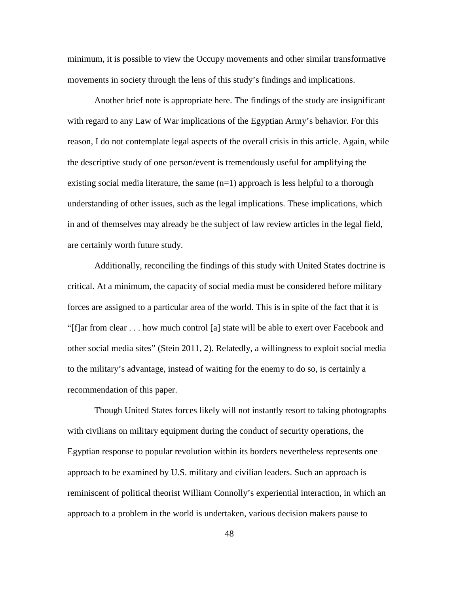minimum, it is possible to view the Occupy movements and other similar transformative movements in society through the lens of this study's findings and implications.

Another brief note is appropriate here. The findings of the study are insignificant with regard to any Law of War implications of the Egyptian Army's behavior. For this reason, I do not contemplate legal aspects of the overall crisis in this article. Again, while the descriptive study of one person/event is tremendously useful for amplifying the existing social media literature, the same  $(n=1)$  approach is less helpful to a thorough understanding of other issues, such as the legal implications. These implications, which in and of themselves may already be the subject of law review articles in the legal field, are certainly worth future study.

Additionally, reconciling the findings of this study with United States doctrine is critical. At a minimum, the capacity of social media must be considered before military forces are assigned to a particular area of the world. This is in spite of the fact that it is "[f]ar from clear . . . how much control [a] state will be able to exert over Facebook and other social media sites" (Stein 2011, 2). Relatedly, a willingness to exploit social media to the military's advantage, instead of waiting for the enemy to do so, is certainly a recommendation of this paper.

Though United States forces likely will not instantly resort to taking photographs with civilians on military equipment during the conduct of security operations, the Egyptian response to popular revolution within its borders nevertheless represents one approach to be examined by U.S. military and civilian leaders. Such an approach is reminiscent of political theorist William Connolly's experiential interaction, in which an approach to a problem in the world is undertaken, various decision makers pause to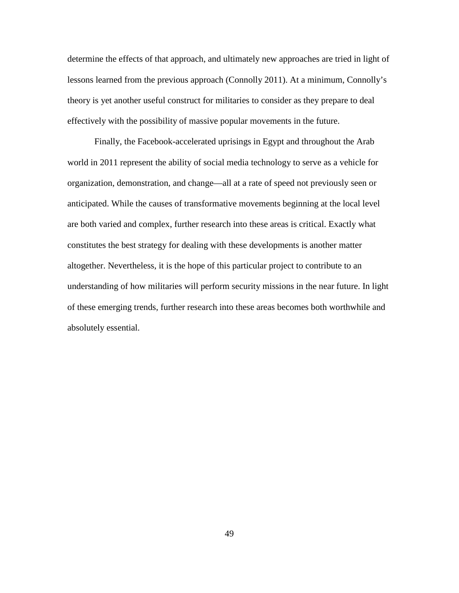determine the effects of that approach, and ultimately new approaches are tried in light of lessons learned from the previous approach (Connolly 2011). At a minimum, Connolly's theory is yet another useful construct for militaries to consider as they prepare to deal effectively with the possibility of massive popular movements in the future.

Finally, the Facebook-accelerated uprisings in Egypt and throughout the Arab world in 2011 represent the ability of social media technology to serve as a vehicle for organization, demonstration, and change—all at a rate of speed not previously seen or anticipated. While the causes of transformative movements beginning at the local level are both varied and complex, further research into these areas is critical. Exactly what constitutes the best strategy for dealing with these developments is another matter altogether. Nevertheless, it is the hope of this particular project to contribute to an understanding of how militaries will perform security missions in the near future. In light of these emerging trends, further research into these areas becomes both worthwhile and absolutely essential.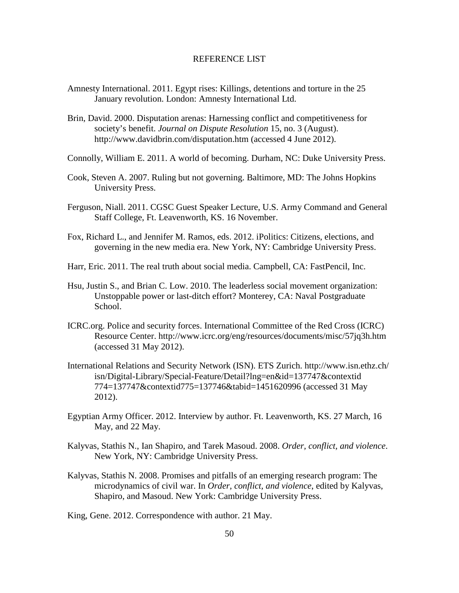#### REFERENCE LIST

- Amnesty International. 2011. Egypt rises: Killings, detentions and torture in the 25 January revolution. London: Amnesty International Ltd.
- Brin, David. 2000. Disputation arenas: Harnessing conflict and competitiveness for society's benefit. *Journal on Dispute Resolution* 15, no. 3 (August). http://www.davidbrin.com/disputation.htm (accessed 4 June 2012).
- Connolly, William E. 2011. A world of becoming. Durham, NC: Duke University Press.
- Cook, Steven A. 2007. Ruling but not governing. Baltimore, MD: The Johns Hopkins University Press.
- Ferguson, Niall. 2011. CGSC Guest Speaker Lecture, U.S. Army Command and General Staff College, Ft. Leavenworth, KS. 16 November.
- Fox, Richard L., and Jennifer M. Ramos, eds. 2012. iPolitics: Citizens, elections, and governing in the new media era. New York, NY: Cambridge University Press.
- Harr, Eric. 2011. The real truth about social media. Campbell, CA: FastPencil, Inc.
- Hsu, Justin S., and Brian C. Low. 2010. The leaderless social movement organization: Unstoppable power or last-ditch effort? Monterey, CA: Naval Postgraduate School.
- ICRC.org. Police and security forces. International Committee of the Red Cross (ICRC) Resource Center. http://www.icrc.org/eng/resources/documents/misc/57jq3h.htm (accessed 31 May 2012).
- International Relations and Security Network (ISN). ETS Zurich. http://www.isn.ethz.ch/ isn/Digital-Library/Special-Feature/Detail?lng=en&id=137747&contextid 774=137747&contextid775=137746&tabid=1451620996 (accessed 31 May 2012).
- Egyptian Army Officer. 2012. Interview by author. Ft. Leavenworth, KS. 27 March, 16 May, and 22 May.
- Kalyvas, Stathis N., Ian Shapiro, and Tarek Masoud. 2008. *Order, conflict, and violence*. New York, NY: Cambridge University Press.
- Kalyvas, Stathis N. 2008. Promises and pitfalls of an emerging research program: The microdynamics of civil war. In *Order, conflict, and violence*, edited by Kalyvas, Shapiro, and Masoud. New York: Cambridge University Press.

King, Gene. 2012. Correspondence with author. 21 May.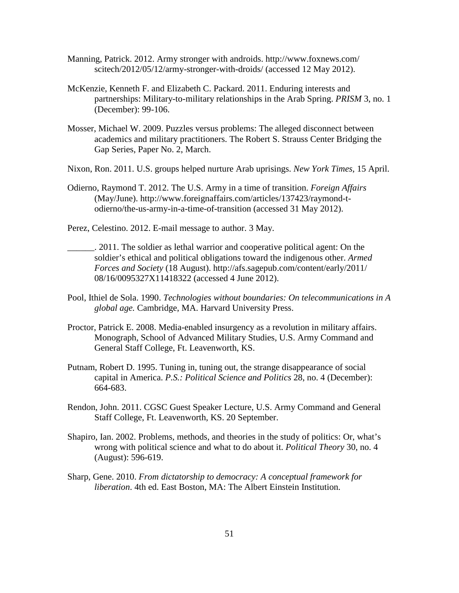- Manning, Patrick. 2012. Army stronger with androids. http://www.foxnews.com/ scitech/2012/05/12/army-stronger-with-droids/ (accessed 12 May 2012).
- McKenzie, Kenneth F. and Elizabeth C. Packard. 2011. Enduring interests and partnerships: Military-to-military relationships in the Arab Spring. *PRISM* 3, no. 1 (December): 99-106.
- Mosser, Michael W. 2009. Puzzles versus problems: The alleged disconnect between academics and military practitioners. The Robert S. Strauss Center Bridging the Gap Series, Paper No. 2, March.
- Nixon, Ron. 2011. U.S. groups helped nurture Arab uprisings. *New York Times,* 15 April.
- Odierno, Raymond T. 2012. The U.S. Army in a time of transition. *Foreign Affairs* (May/June). http://www.foreignaffairs.com/articles/137423/raymond-todierno/the-us-army-in-a-time-of-transition (accessed 31 May 2012).
- Perez, Celestino. 2012. E-mail message to author. 3 May.
- \_\_\_\_\_\_. 2011. The soldier as lethal warrior and cooperative political agent: On the soldier's ethical and political obligations toward the indigenous other. *Armed Forces and Society* (18 August). http://afs.sagepub.com/content/early/2011/ 08/16/0095327X11418322 (accessed 4 June 2012).
- Pool, Ithiel de Sola. 1990. *Technologies without boundaries: On telecommunications in A global age.* Cambridge, MA. Harvard University Press.
- Proctor, Patrick E. 2008. Media-enabled insurgency as a revolution in military affairs. Monograph, School of Advanced Military Studies, U.S. Army Command and General Staff College, Ft. Leavenworth, KS.
- Putnam, Robert D. 1995. Tuning in, tuning out, the strange disappearance of social capital in America. *P.S.: Political Science and Politics* 28, no. 4 (December): 664-683.
- Rendon, John. 2011. CGSC Guest Speaker Lecture, U.S. Army Command and General Staff College, Ft. Leavenworth, KS. 20 September.
- Shapiro, Ian. 2002. Problems, methods, and theories in the study of politics: Or, what's wrong with political science and what to do about it. *Political Theory* 30, no. 4 (August): 596-619.
- Sharp, Gene. 2010. *From dictatorship to democracy: A conceptual framework for liberation*. 4th ed. East Boston, MA: The Albert Einstein Institution.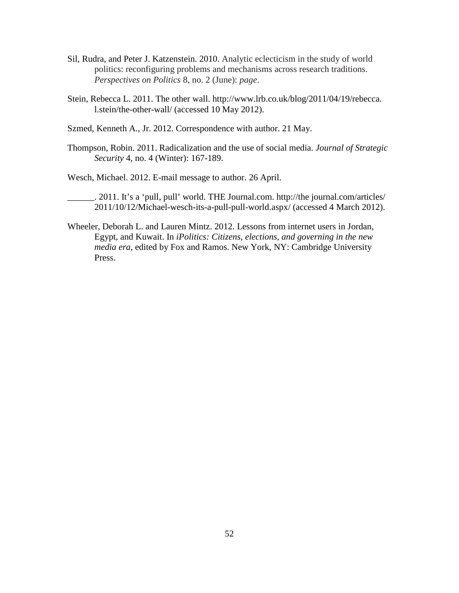- Sil, Rudra, and Peter J. Katzenstein. 2010. Analytic eclecticism in the study of world politics: reconfiguring problems and mechanisms across research traditions. *Perspectives on Politics* 8, no. 2 (June): *page*.
- Stein, Rebecca L. 2011. The other wall. http://www.lrb.co.uk/blog/2011/04/19/rebecca. l.stein/the-other-wall/ (accessed 10 May 2012).
- Szmed, Kenneth A., Jr. 2012. Correspondence with author. 21 May.
- Thompson, Robin. 2011. Radicalization and the use of social media. *Journal of Strategic Security* 4, no. 4 (Winter): 167-189.

Wesch, Michael. 2012. E-mail message to author. 26 April.

\_\_\_\_\_\_. 2011. It's a 'pull, pull' world. THE Journal.com. http://the journal.com/articles/ 2011/10/12/Michael-wesch-its-a-pull-pull-world.aspx/ (accessed 4 March 2012).

Wheeler, Deborah L. and Lauren Mintz. 2012. Lessons from internet users in Jordan, Egypt, and Kuwait. In *iPolitics: Citizens, elections, and governing in the new media era*, edited by Fox and Ramos. New York, NY: Cambridge University Press.